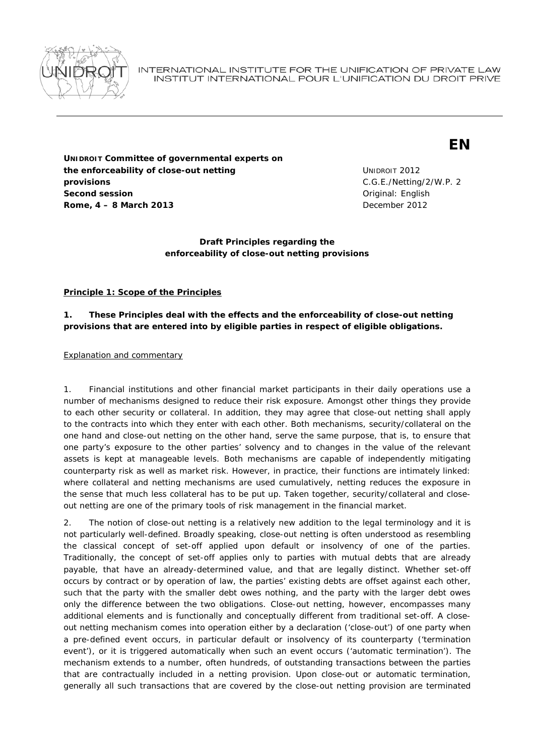

INTERNATIONAL INSTITUTE FOR THE UNIFICATION OF PRIVATE LAW INSTITUT INTERNATIONAL POUR L'UNIFICATION DU DROIT PRIVE

**UNIDROIT Committee of governmental experts on the enforceability of close-out netting provisions Second session Second session** *Second session* **Rome, 4 – 8 March 2013 December 2012** 

UNIDROIT 2012 C.G.E./Netting/2/W.P. 2

# **Draft Principles regarding the enforceability of close-out netting provisions**

## **Principle 1: Scope of the Principles**

# *1. These Principles deal with the effects and the enforceability of close-out netting provisions that are entered into by eligible parties in respect of eligible obligations.*

Explanation and commentary

1. Financial institutions and other financial market participants in their daily operations use a number of mechanisms designed to reduce their risk exposure. Amongst other things they provide to each other security or collateral. In addition, they may agree that close-out netting shall apply to the contracts into which they enter with each other. Both mechanisms, security/collateral on the one hand and close-out netting on the other hand, serve the same purpose, that is, to ensure that one party's exposure to the other parties' solvency and to changes in the value of the relevant assets is kept at manageable levels. Both mechanisms are capable of independently mitigating counterparty risk as well as market risk. However, in practice, their functions are intimately linked: where collateral and netting mechanisms are used cumulatively, netting reduces the exposure in the sense that much less collateral has to be put up. Taken together, security/collateral and closeout netting are one of the primary tools of risk management in the financial market.

2. The notion of close-out netting is a relatively new addition to the legal terminology and it is not particularly well-defined. Broadly speaking, close-out netting is often understood as resembling the classical concept of set-off applied upon default or insolvency of one of the parties. Traditionally, the concept of set-off applies only to parties with mutual debts that are already payable, that have an already-determined value, and that are legally distinct. Whether set-off occurs by contract or by operation of law, the parties' existing debts are offset against each other, such that the party with the smaller debt owes nothing, and the party with the larger debt owes only the difference between the two obligations. Close-out netting, however, encompasses many additional elements and is functionally and conceptually different from traditional set-off. A closeout netting mechanism comes into operation either by a declaration ('close-out') of one party when a pre-defined event occurs, in particular default or insolvency of its counterparty ('termination event'), or it is triggered automatically when such an event occurs ('automatic termination'). The mechanism extends to a number, often hundreds, of outstanding transactions between the parties that are contractually included in a netting provision. Upon close-out or automatic termination, generally all such transactions that are covered by the close-out netting provision are terminated

# **EN**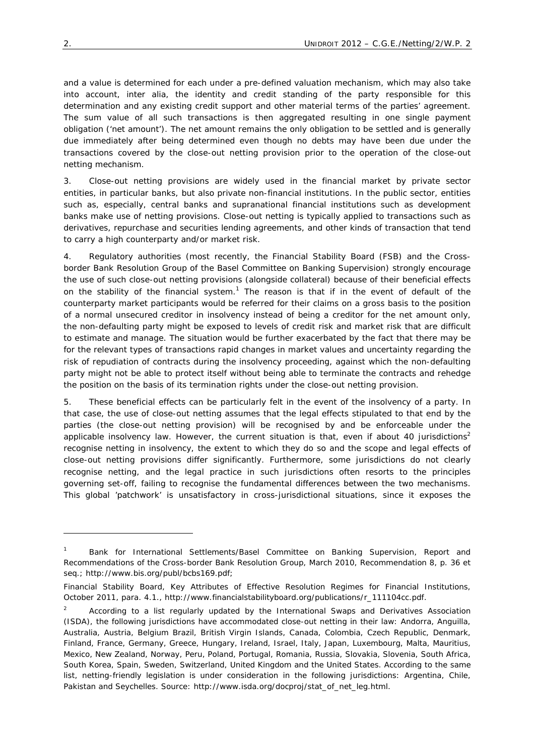and a value is determined for each under a pre-defined valuation mechanism, which may also take into account, *inter alia*, the identity and credit standing of the party responsible for this determination and any existing credit support and other material terms of the parties' agreement. The sum value of all such transactions is then aggregated resulting in one single payment obligation ('net amount'). The net amount remains the only obligation to be settled and is generally due immediately after being determined even though no debts may have been due under the transactions covered by the close-out netting provision prior to the operation of the close-out netting mechanism.

3. Close-out netting provisions are widely used in the financial market by private sector entities, in particular banks, but also private non-financial institutions. In the public sector, entities such as, especially, central banks and supranational financial institutions such as development banks make use of netting provisions. Close-out netting is typically applied to transactions such as derivatives, repurchase and securities lending agreements, and other kinds of transaction that tend to carry a high counterparty and/or market risk.

4. Regulatory authorities (most recently, the *Financial Stability Board* (FSB) and the *Crossborder Bank Resolution Group* of the Basel Committee on Banking Supervision) strongly encourage the use of such close-out netting provisions (alongside collateral) because of their beneficial effects on the stability of the financial system.<sup>1</sup> The reason is that if in the event of default of the counterparty market participants would be referred for their claims on a gross basis to the position of a normal unsecured creditor in insolvency instead of being a creditor for the net amount only, the non-defaulting party might be exposed to levels of credit risk and market risk that are difficult to estimate and manage. The situation would be further exacerbated by the fact that there may be for the relevant types of transactions rapid changes in market values and uncertainty regarding the risk of repudiation of contracts during the insolvency proceeding, against which the non-defaulting party might not be able to protect itself without being able to terminate the contracts and rehedge the position on the basis of its termination rights under the close-out netting provision.

5. These beneficial effects can be particularly felt in the event of the insolvency of a party. In that case, the use of close-out netting assumes that the legal effects stipulated to that end by the parties (the close-out netting provision) will be recognised by and be enforceable under the applicable insolvency law. However, the current situation is that, even if about 40 jurisdictions<sup>2</sup> recognise netting in insolvency, the extent to which they do so and the scope and legal effects of close-out netting provisions differ significantly. Furthermore, some jurisdictions do not clearly recognise netting, and the legal practice in such jurisdictions often resorts to the principles governing set-off, failing to recognise the fundamental differences between the two mechanisms. This global 'patchwork' is unsatisfactory in cross-jurisdictional situations, since it exposes the

1

<sup>1</sup> Bank for International Settlements/Basel Committee on Banking Supervision, Report and Recommendations of the Cross-border Bank Resolution Group, March 2010, Recommendation 8, p. 36 *et seq*.; http://www.bis.org/publ/bcbs169.pdf;

Financial Stability Board, Key Attributes of Effective Resolution Regimes for Financial Institutions, October 2011, para. 4.1., http://www.financialstabilityboard.org/publications/r\_111104cc.pdf.

<sup>2</sup> According to a list regularly updated by the International Swaps and Derivatives Association (ISDA), the following jurisdictions have accommodated close-out netting in their law: Andorra, Anguilla, Australia, Austria, Belgium Brazil, British Virgin Islands, Canada, Colombia, Czech Republic, Denmark, Finland, France, Germany, Greece, Hungary, Ireland, Israel, Italy, Japan, Luxembourg, Malta, Mauritius, Mexico, New Zealand, Norway, Peru, Poland, Portugal, Romania, Russia, Slovakia, Slovenia, South Africa, South Korea, Spain, Sweden, Switzerland, United Kingdom and the United States. According to the same list, netting-friendly legislation is under consideration in the following jurisdictions: Argentina, Chile, Pakistan and Seychelles. Source: http://www.isda.org/docproj/stat\_of\_net\_leg.html.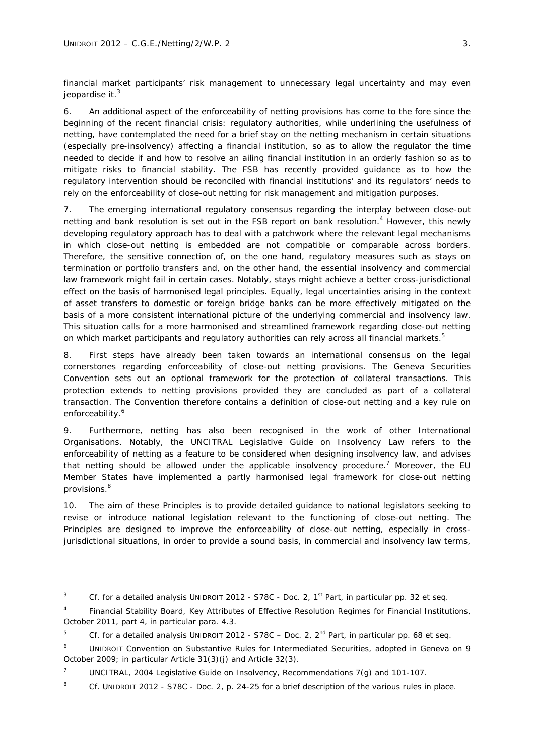1

financial market participants' risk management to unnecessary legal uncertainty and may even jeopardise it.<sup>3</sup>

6. An additional aspect of the enforceability of netting provisions has come to the fore since the beginning of the recent financial crisis: regulatory authorities, while underlining the usefulness of netting, have contemplated the need for a brief stay on the netting mechanism in certain situations (especially pre-insolvency) affecting a financial institution, so as to allow the regulator the time needed to decide if and how to resolve an ailing financial institution in an orderly fashion so as to mitigate risks to financial stability. The FSB has recently provided guidance as to how the regulatory intervention should be reconciled with financial institutions' and its regulators' needs to rely on the enforceability of close-out netting for risk management and mitigation purposes.

7. The emerging international regulatory consensus regarding the interplay between close-out netting and bank resolution is set out in the FSB report on bank resolution.<sup>4</sup> However, this newly developing regulatory approach has to deal with a patchwork where the relevant legal mechanisms in which close-out netting is embedded are not compatible or comparable across borders. Therefore, the sensitive connection of, on the one hand, regulatory measures such as stays on termination or portfolio transfers and, on the other hand, the essential insolvency and commercial law framework might fail in certain cases. Notably, stays might achieve a better cross-jurisdictional effect on the basis of harmonised legal principles. Equally, legal uncertainties arising in the context of asset transfers to domestic or foreign bridge banks can be more effectively mitigated on the basis of a more consistent international picture of the underlying commercial and insolvency law. This situation calls for a more harmonised and streamlined framework regarding close-out netting on which market participants and regulatory authorities can rely across all financial markets.<sup>5</sup>

8. First steps have already been taken towards an international consensus on the legal cornerstones regarding enforceability of close-out netting provisions. The Geneva Securities Convention sets out an optional framework for the protection of collateral transactions. This protection extends to netting provisions provided they are concluded as part of a collateral transaction. The Convention therefore contains a definition of close-out netting and a key rule on enforceability.<sup>6</sup>

9. Furthermore, netting has also been recognised in the work of other International Organisations. Notably, the UNCITRAL Legislative Guide on Insolvency Law refers to the enforceability of netting as a feature to be considered when designing insolvency law, and advises that netting should be allowed under the applicable insolvency procedure.<sup>7</sup> Moreover, the EU Member States have implemented a partly harmonised legal framework for close-out netting provisions.<sup>8</sup>

10. The aim of these Principles is to provide detailed guidance to national legislators seeking to revise or introduce national legislation relevant to the functioning of close-out netting. The Principles are designed to improve the enforceability of close-out netting, especially in crossjurisdictional situations, in order to provide a sound basis, in commercial and insolvency law terms,

<sup>3</sup> *Cf.* for a detailed analysis UNIDROIT 2012 - S78C - Doc. 2, 1st Part, in particular pp. 32 *et seq.*

<sup>4</sup> Financial Stability Board, Key Attributes of Effective Resolution Regimes for Financial Institutions, October 2011, part 4, in particular para. 4.3.

<sup>5</sup> *Cf.* for a detailed analysis UNIDROIT 2012 - S78C – Doc. 2, 2<sup>nd</sup> Part, in particular pp. 68 *et seq.* 

<sup>6</sup> UNIDROIT Convention on Substantive Rules for Intermediated Securities, adopted in Geneva on 9 October 2009; in particular Article 31(3)(j) and Article 32(3).

<sup>7</sup> UNCITRAL, 2004 Legislative Guide on Insolvency, Recommendations 7(g) and 101-107.

<sup>8</sup> *Cf.* UNIDROIT 2012 - S78C - Doc. 2, p. 24-25 for a brief description of the various rules in place.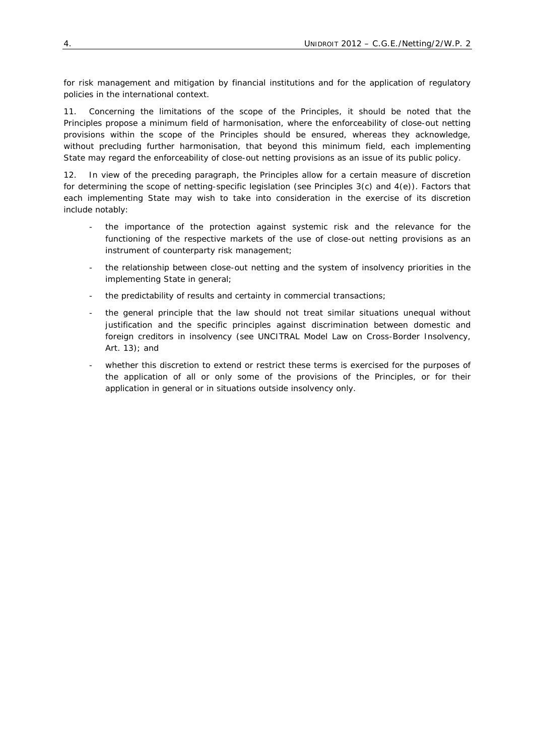for risk management and mitigation by financial institutions and for the application of regulatory policies in the international context.

11. Concerning the limitations of the scope of the Principles, it should be noted that the Principles propose a minimum field of harmonisation, where the enforceability of close-out netting provisions within the scope of the Principles should be ensured, whereas they acknowledge, without precluding further harmonisation, that beyond this minimum field, each implementing State may regard the enforceability of close-out netting provisions as an issue of its public policy.

12. In view of the preceding paragraph, the Principles allow for a certain measure of discretion for determining the scope of netting-specific legislation (see *Principles 3(c) and 4(e)*). Factors that each implementing State may wish to take into consideration in the exercise of its discretion include notably:

- the importance of the protection against systemic risk and the relevance for the functioning of the respective markets of the use of close-out netting provisions as an instrument of counterparty risk management;
- the relationship between close-out netting and the system of insolvency priorities in the implementing State in general;
- the predictability of results and certainty in commercial transactions;
- the general principle that the law should not treat similar situations unequal without justification and the specific principles against discrimination between domestic and foreign creditors in insolvency (see UNCITRAL Model Law on Cross-Border Insolvency, Art. 13); and
- whether this discretion to extend or restrict these terms is exercised for the purposes of the application of all or only some of the provisions of the Principles, or for their application in general or in situations outside insolvency only.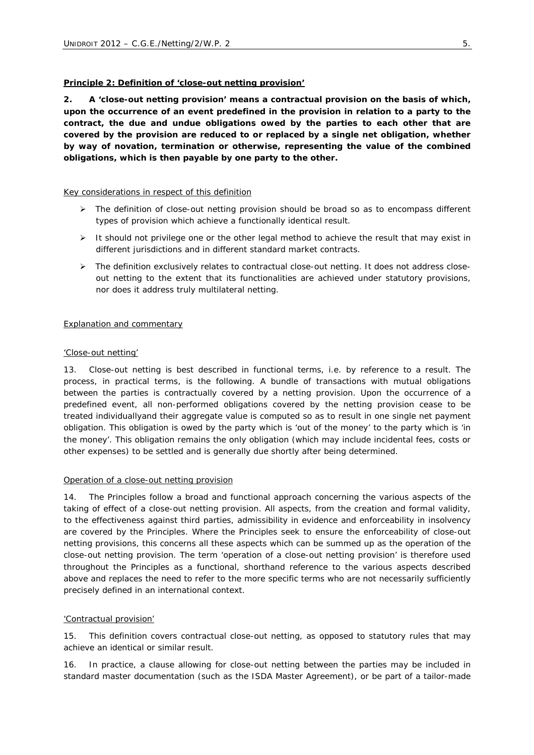## **Principle 2: Definition of 'close-out netting provision'**

*2. A 'close-out netting provision' means a contractual provision on the basis of which, upon the occurrence of an event predefined in the provision in relation to a party to the contract, the due and undue obligations owed by the parties to each other that are covered by the provision are reduced to or replaced by a single net obligation, whether by way of novation, termination or otherwise, representing the value of the combined obligations, which is then payable by one party to the other.* 

#### Key considerations in respect of this definition

- $\triangleright$  The definition of close-out netting provision should be broad so as to encompass different types of provision which achieve a functionally identical result.
- $\triangleright$  It should not privilege one or the other legal method to achieve the result that may exist in different jurisdictions and in different standard market contracts.
- ¾ The definition exclusively relates to contractual close-out netting. It does not address closeout netting to the extent that its functionalities are achieved under statutory provisions, nor does it address truly multilateral netting.

## Explanation and commentary

## *'Close-out netting'*

13. Close-out netting is best described in functional terms, *i.e.* by reference to a result. The process, in practical terms, is the following. A bundle of transactions with mutual obligations between the parties is contractually covered by a netting provision. Upon the occurrence of a predefined event, all non-performed obligations covered by the netting provision cease to be treated individuallyand their aggregate value is computed so as to result in one single net payment obligation. This obligation is owed by the party which is 'out of the money' to the party which is 'in the money'. This obligation remains the only obligation (which may include incidental fees, costs or other expenses) to be settled and is generally due shortly after being determined.

#### *Operation of a close-out netting provision*

14. The Principles follow a broad and functional approach concerning the various aspects of the taking of effect of a close-out netting provision. All aspects, from the creation and formal validity, to the effectiveness against third parties, admissibility in evidence and enforceability in insolvency are covered by the Principles. Where the Principles seek to ensure the enforceability of close-out netting provisions, this concerns all these aspects which can be summed up as the operation of the close-out netting provision. The term 'operation of a close-out netting provision' is therefore used throughout the Principles as a functional, shorthand reference to the various aspects described above and replaces the need to refer to the more specific terms who are not necessarily sufficiently precisely defined in an international context.

## *'Contractual provision'*

15. This definition covers contractual close-out netting, as opposed to statutory rules that may achieve an identical or similar result.

16. In practice, a clause allowing for close-out netting between the parties may be included in standard master documentation (such as the ISDA Master Agreement), or be part of a tailor-made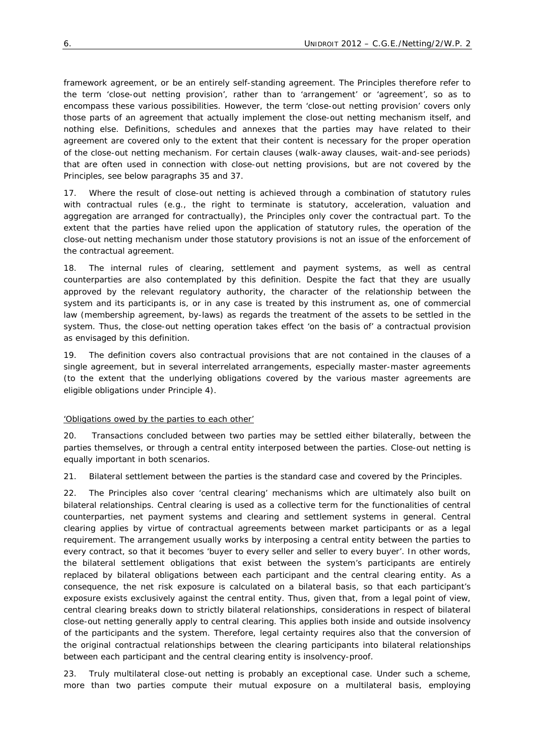framework agreement, or be an entirely self-standing agreement. The Principles therefore refer to the term 'close-out netting provision', rather than to 'arrangement' or 'agreement', so as to encompass these various possibilities. However, the term 'close-out netting provision' covers only those parts of an agreement that actually implement the close-out netting mechanism itself, and nothing else. Definitions, schedules and annexes that the parties may have related to their agreement are covered only to the extent that their content is necessary for the proper operation of the close-out netting mechanism. For certain clauses (walk-away clauses, wait-and-see periods) that are often used in connection with close-out netting provisions, but are not covered by the Principles, see below *paragraphs* 35 and 37.

17. Where the result of close-out netting is achieved through a combination of statutory rules with contractual rules (*e.g.*, the right to terminate is statutory, acceleration, valuation and aggregation are arranged for contractually), the Principles only cover the contractual part. To the extent that the parties have relied upon the application of statutory rules, the operation of the close-out netting mechanism under those statutory provisions is not an issue of the enforcement of the contractual agreement.

18. The internal rules of clearing, settlement and payment systems, as well as central counterparties are also contemplated by this definition. Despite the fact that they are usually approved by the relevant regulatory authority, the character of the relationship between the system and its participants is, or in any case is treated by this instrument as, one of commercial law (membership agreement, by-laws) as regards the treatment of the assets to be settled in the system. Thus, the close-out netting operation takes effect 'on the basis of' a contractual provision as envisaged by this definition.

19. The definition covers also contractual provisions that are not contained in the clauses of a single agreement, but in several interrelated arrangements, especially master-master agreements (to the extent that the underlying obligations covered by the various master agreements are eligible obligations under *Principle 4*).

#### *'Obligations owed by the parties to each other'*

20. Transactions concluded between two parties may be settled either bilaterally, between the parties themselves, or through a central entity interposed between the parties. Close-out netting is *equally important* in both scenarios.

21. Bilateral settlement between the parties is the standard case and covered by the Principles.

22. The Principles also cover 'central clearing' mechanisms which are ultimately also built on bilateral relationships. Central clearing is used as a collective term for the functionalities of central counterparties, net payment systems and clearing and settlement systems in general. Central clearing applies by virtue of contractual agreements between market participants or as a legal requirement. The arrangement usually works by interposing a central entity between the parties to every contract, so that it becomes 'buyer to every seller and seller to every buyer'. In other words, the bilateral settlement obligations that exist between the system's participants are entirely replaced by bilateral obligations between each participant and the central clearing entity. As a consequence, the net risk exposure is calculated on a bilateral basis, so that each participant's exposure exists exclusively against the central entity. Thus, given that, from a legal point of view, central clearing breaks down to strictly bilateral relationships, considerations in respect of bilateral close-out netting generally apply to central clearing. This applies both inside and outside insolvency of the participants and the system. Therefore, legal certainty requires also that the conversion of the original contractual relationships between the clearing participants into bilateral relationships between each participant and the central clearing entity is insolvency-proof.

23. Truly multilateral close-out netting is probably an exceptional case. Under such a scheme, more than two parties compute their mutual exposure on a multilateral basis, employing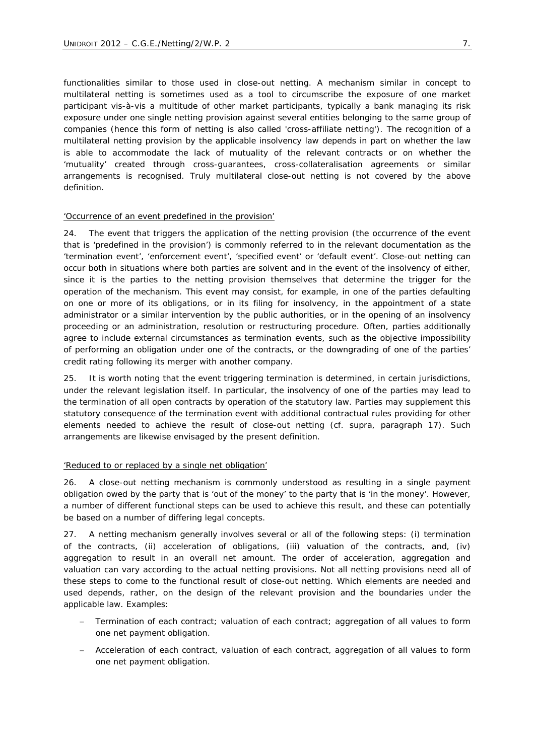functionalities similar to those used in close-out netting. A mechanism similar in concept to multilateral netting is sometimes used as a tool to circumscribe the exposure of one market participant *vis-à-vis* a multitude of other market participants, typically a bank managing its risk exposure under one single netting provision against several entities belonging to the same group of companies (hence this form of netting is also called 'cross-affiliate netting'). The recognition of a multilateral netting provision by the applicable insolvency law depends in part on whether the law is able to accommodate the lack of mutuality of the relevant contracts or on whether the 'mutuality' created through cross-guarantees, cross-collateralisation agreements or similar arrangements is recognised. Truly multilateral close-out netting is *not* covered by the above definition.

#### *'Occurrence of an event predefined in the provision'*

24. The event that triggers the application of the netting provision (the occurrence of the event that is 'predefined in the provision') is commonly referred to in the relevant documentation as the 'termination event', 'enforcement event', 'specified event' or 'default event'. Close-out netting can occur both in situations where both parties are solvent and in the event of the insolvency of either, since it is the parties to the netting provision themselves that determine the trigger for the operation of the mechanism. This event may consist, for example, in one of the parties defaulting on one or more of its obligations, or in its filing for insolvency, in the appointment of a state administrator or a similar intervention by the public authorities, or in the opening of an insolvency proceeding or an administration, resolution or restructuring procedure. Often, parties additionally agree to include external circumstances as termination events, such as the objective impossibility of performing an obligation under one of the contracts, or the downgrading of one of the parties' credit rating following its merger with another company.

25. It is worth noting that the event triggering termination is determined, in certain jurisdictions, under the relevant legislation itself. In particular, the insolvency of one of the parties may lead to the termination of all open contracts by operation of the statutory law. Parties may supplement this statutory consequence of the termination event with additional contractual rules providing for other elements needed to achieve the result of close-out netting (*cf. supra, paragraph* 17). Such arrangements are likewise envisaged by the present definition.

#### *'Reduced to or replaced by a single net obligation'*

26. A close-out netting mechanism is commonly understood as resulting in a single payment obligation owed by the party that is 'out of the money' to the party that is 'in the money'. However, a number of different functional steps can be used to achieve this result, and these can potentially be based on a number of differing legal concepts.

27. A netting mechanism generally involves several or all of the following steps: (i) termination of the contracts, (ii) acceleration of obligations, (iii) valuation of the contracts, and, (iv) aggregation to result in an overall net amount. The order of acceleration, aggregation and valuation can vary according to the actual netting provisions. Not all netting provisions need all of these steps to come to the functional result of close-out netting. Which elements are needed and used depends, rather, on the design of the relevant provision and the boundaries under the applicable law. Examples:

- − Termination of each contract; valuation of each contract; aggregation of all values to form one net payment obligation.
- − Acceleration of each contract, valuation of each contract, aggregation of all values to form one net payment obligation.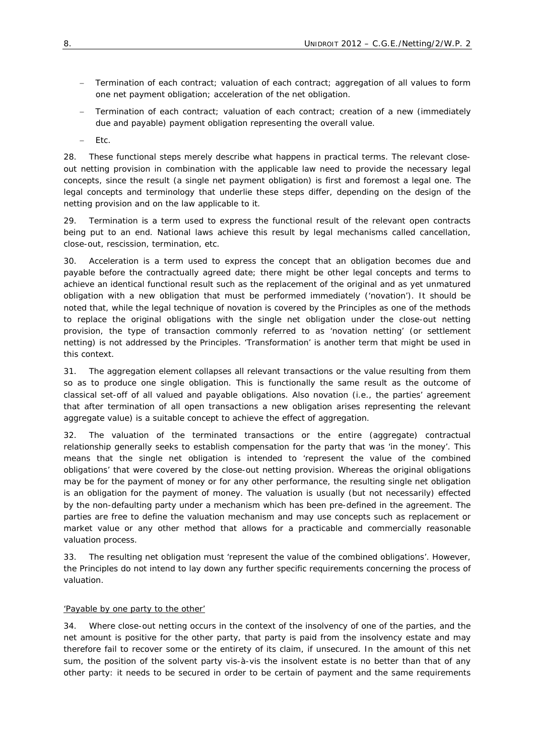- − Termination of each contract; valuation of each contract; aggregation of all values to form one net payment obligation; acceleration of the net obligation.
- − Termination of each contract; valuation of each contract; creation of a new (immediately due and payable) payment obligation representing the overall value.
- − *Etc*.

28. These functional steps merely describe what happens in practical terms. The relevant closeout netting provision in combination with the applicable law need to provide the necessary legal concepts, since the result (a single net payment obligation) is first and foremost a legal one. The legal concepts and terminology that underlie these steps differ, depending on the design of the netting provision and on the law applicable to it.

29. Termination is a term used to express the functional result of the relevant open contracts being put to an end. National laws achieve this result by legal mechanisms called cancellation, close-out, rescission, termination, *etc.*

30. Acceleration is a term used to express the concept that an obligation becomes due and payable before the contractually agreed date; there might be other legal concepts and terms to achieve an identical functional result such as the replacement of the original and as yet unmatured obligation with a new obligation that must be performed immediately ('novation'). It should be noted that, while the legal technique of novation is covered by the Principles as one of the methods to replace the original obligations with the single net obligation under the close-out netting provision, the type of transaction commonly referred to as 'novation netting' (or settlement netting) is not addressed by the Principles. 'Transformation' is another term that might be used in this context.

31. The aggregation element collapses all relevant transactions or the value resulting from them so as to produce one single obligation. This is functionally the same result as the outcome of classical set-off of all valued and payable obligations. Also novation (*i.e.*, the parties' agreement that after termination of all open transactions a *new* obligation arises representing the relevant aggregate value) is a suitable concept to achieve the effect of aggregation.

32. The valuation of the terminated transactions or the entire (aggregate) contractual relationship generally seeks to establish compensation for the party that was 'in the money'. This means that the single net obligation is intended to 'represent the value of the combined obligations' that were covered by the close-out netting provision. Whereas the original obligations may be for the payment of money or for any other performance, the resulting single net obligation is an obligation for the payment of money. The valuation is usually (but not necessarily) effected by the non-defaulting party under a mechanism which has been pre-defined in the agreement. The parties are free to define the valuation mechanism and may use concepts such as replacement or market value or any other method that allows for a practicable and commercially reasonable valuation process.

33. The resulting net obligation must 'represent the value of the combined obligations'. However, the Principles do not intend to lay down any further specific requirements concerning the process of valuation.

#### *'Payable by one party to the other'*

34. Where close-out netting occurs in the context of the insolvency of one of the parties, and the net amount is positive for the other party, that party is paid from the insolvency estate and may therefore fail to recover some or the entirety of its claim, if unsecured. In the amount of this net sum, the position of the solvent party *vis-à-vis* the insolvent estate is no better than that of any other party: it needs to be secured in order to be certain of payment and the same requirements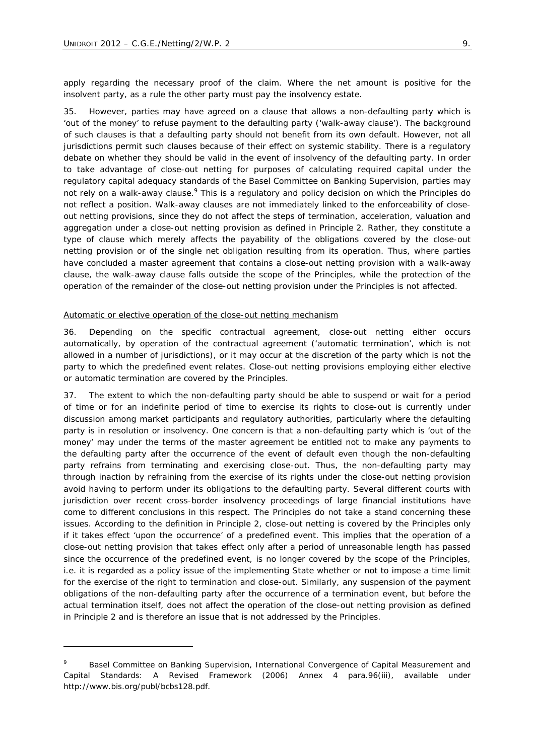1

apply regarding the necessary proof of the claim. Where the net amount is positive for the insolvent party, as a rule the other party must pay the insolvency estate.

35. However, parties may have agreed on a clause that allows a non-defaulting party which is 'out of the money' to refuse payment to the defaulting party ('walk-away clause'). The background of such clauses is that a defaulting party should not benefit from its own default. However, not all jurisdictions permit such clauses because of their effect on systemic stability. There is a regulatory debate on whether they should be valid in the event of insolvency of the defaulting party. In order to take advantage of close-out netting for purposes of calculating required capital under the regulatory capital adequacy standards of the *Basel Committee on Banking Supervision*, parties may not rely on a walk-away clause.<sup>9</sup> This is a regulatory and policy decision on which the Principles do not reflect a position. Walk-away clauses are not immediately linked to the enforceability of closeout netting provisions, since they do not affect the steps of termination, acceleration, valuation and aggregation under a close-out netting provision as defined in *Principle 2*. Rather, they constitute a type of clause which merely affects the payability of the obligations covered by the close-out netting provision or of the single net obligation resulting from its operation. Thus, where parties have concluded a master agreement that contains a close-out netting provision with a walk-away clause, the walk-away clause falls outside the scope of the Principles, while the protection of the operation of the remainder of the close-out netting provision under the Principles is not affected.

#### *Automatic or elective operation of the close-out netting mechanism*

36. Depending on the specific contractual agreement, close-out netting either occurs automatically, by operation of the contractual agreement ('automatic termination', which is not allowed in a number of jurisdictions), or it may occur at the discretion of the party which is not the party to which the predefined event relates. Close-out netting provisions employing either elective or automatic termination are covered by the Principles.

37. The extent to which the non-defaulting party should be able to suspend or wait for a period of time or for an indefinite period of time to exercise its rights to close-out is currently under discussion among market participants and regulatory authorities, particularly where the defaulting party is in resolution or insolvency. One concern is that a non-defaulting party which is 'out of the money' may under the terms of the master agreement be entitled not to make any payments to the defaulting party after the occurrence of the event of default even though the non-defaulting party refrains from terminating and exercising close-out. Thus, the non-defaulting party may through inaction by refraining from the exercise of its rights under the close-out netting provision avoid having to perform under its obligations to the defaulting party. Several different courts with jurisdiction over recent cross-border insolvency proceedings of large financial institutions have come to different conclusions in this respect. The Principles do not take a stand concerning these issues. According to the definition in *Principle 2*, close-out netting is covered by the Principles only if it takes effect 'upon the occurrence' of a predefined event. This implies that the operation of a close-out netting provision that takes effect only after a period of unreasonable length has passed since the occurrence of the predefined event, is no longer covered by the scope of the Principles, *i.e.* it is regarded as a policy issue of the implementing State whether or not to impose a time limit for the exercise of the right to termination and close-out. Similarly, any suspension of the payment obligations of the non-defaulting party after the occurrence of a termination event, but before the actual termination itself, does not affect the operation of the close-out netting provision as defined in *Principle 2* and is therefore an issue that is not addressed by the Principles.

<sup>9</sup> Basel Committee on Banking Supervision, International Convergence of Capital Measurement and Capital Standards: A Revised Framework (2006) Annex 4 para.96(iii), available under http://www.bis.org/publ/bcbs128.pdf.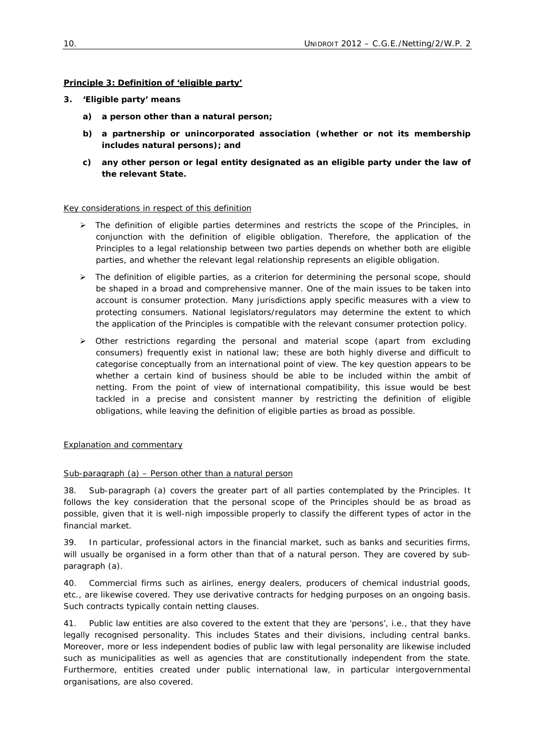## **Principle 3: Definition of 'eligible party'**

- *3. 'Eligible party' means* 
	- *a) a person other than a natural person;*
	- *b) a partnership or unincorporated association (whether or not its membership includes natural persons); and*
	- *c) any other person or legal entity designated as an eligible party under the law of the relevant State.*

#### Key considerations in respect of this definition

- $\triangleright$  The definition of eligible parties determines and restricts the scope of the Principles, in conjunction with the definition of eligible obligation. Therefore, the application of the Principles to a legal relationship between two parties depends on whether both are eligible parties, and whether the relevant legal relationship represents an eligible obligation.
- $\triangleright$  The definition of eligible parties, as a criterion for determining the personal scope, should be shaped in a broad and comprehensive manner. One of the main issues to be taken into account is consumer protection. Many jurisdictions apply specific measures with a view to protecting consumers. National legislators/regulators may determine the extent to which the application of the Principles is compatible with the relevant consumer protection policy.
- $\triangleright$  Other restrictions regarding the personal and material scope (apart from excluding consumers) frequently exist in national law; these are both highly diverse and difficult to categorise conceptually from an international point of view. The key question appears to be whether a certain kind of business should be able to be included within the ambit of netting. From the point of view of international compatibility, this issue would be best tackled in a precise and consistent manner by restricting the definition of eligible obligations, while leaving the definition of eligible parties as broad as possible.

#### Explanation and commentary

#### *Sub-paragraph (a) – Person other than a natural person*

38. *Sub-paragraph (a)* covers the greater part of all parties contemplated by the *Principles.* It follows the key consideration that the personal scope of the Principles should be as broad as possible, given that it is well-nigh impossible properly to classify the different types of actor in the financial market.

39. In particular, professional actors in the financial market, such as banks and securities firms, will usually be organised in a form other than that of a natural person. They are covered by *subparagraph (a)*.

40. Commercial firms such as airlines, energy dealers, producers of chemical industrial goods, *etc*., are likewise covered. They use derivative contracts for hedging purposes on an ongoing basis. Such contracts typically contain netting clauses.

41. Public law entities are also covered to the extent that they are 'persons', *i.e.*, that they have legally recognised personality. This includes States and their divisions, including central banks. Moreover, more or less independent bodies of public law with legal personality are likewise included such as municipalities as well as agencies that are constitutionally independent from the state. Furthermore, entities created under public international law, in particular intergovernmental organisations, are also covered.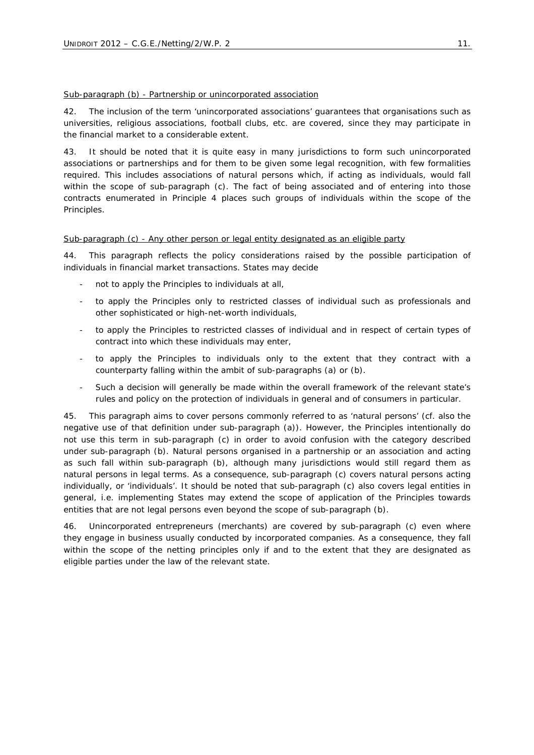#### *Sub-paragraph (b) - Partnership or unincorporated association*

42. The inclusion of the term 'unincorporated associations' guarantees that organisations such as universities, religious associations, football clubs, *etc*. are covered, since they may participate in the financial market to a considerable extent.

43. It should be noted that it is quite easy in many jurisdictions to form such unincorporated associations or partnerships and for them to be given some legal recognition, with few formalities required. This includes associations of natural persons which, if acting as individuals, would fall within the scope of *sub-paragraph (c)*. The fact of being associated and of entering into those contracts enumerated in *Principle 4* places such groups of individuals within the scope of the Principles.

## *Sub-paragraph (c) - Any other person or legal entity designated as an eligible party*

44. This paragraph reflects the policy considerations raised by the possible participation of individuals in financial market transactions. States may decide

- not to apply the Principles to individuals at all,
- to apply the Principles only to restricted classes of individual such as professionals and other sophisticated or high-net-worth individuals,
- to apply the Principles to restricted classes of individual and in respect of certain types of contract into which these individuals may enter,
- to apply the Principles to individuals only to the extent that they contract with a counterparty falling within the ambit of *sub-paragraphs (a)* or *(b)*.
- Such a decision will generally be made within the overall framework of the relevant state's rules and policy on the protection of individuals in general and of consumers in particular.

45. This paragraph aims to cover persons commonly referred to as 'natural persons' (*cf.* also the negative use of that definition under *sub-paragraph (a)*). However, the Principles intentionally do not use this term in *sub-paragraph (c)* in order to avoid confusion with the category described under *sub-paragraph (b)*. Natural persons organised in a partnership or an association and acting as such fall within *sub-paragraph (b)*, although many jurisdictions would still regard them as natural persons in legal terms. As a consequence, *sub-paragraph (c)* covers natural persons acting individually, or 'individuals'. It should be noted that *sub-paragraph (c)* also covers legal entities in general, *i.e.* implementing States may extend the scope of application of the Principles towards entities that are not legal persons even beyond the scope of *sub-paragraph (b)*.

46. Unincorporated entrepreneurs (merchants) are covered by *sub-paragraph (c)* even where they engage in business usually conducted by incorporated companies. As a consequence, they fall within the scope of the netting principles only if and to the extent that they are designated as eligible parties under the law of the relevant state.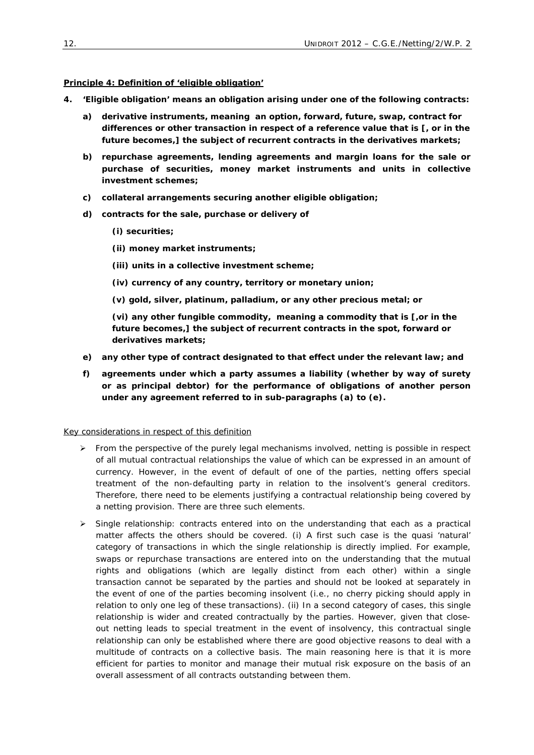#### **Principle 4: Definition of 'eligible obligation'**

- *4. 'Eligible obligation' means an obligation arising under one of the following contracts:* 
	- *a) derivative instruments, meaning an option, forward, future, swap, contract for differences or other transaction in respect of a reference value that is [, or in the future becomes,] the subject of recurrent contracts in the derivatives markets;*
	- *b) repurchase agreements, lending agreements and margin loans for the sale or purchase of securities, money market instruments and units in collective investment schemes;*
	- *c) collateral arrangements securing another eligible obligation;*
	- *d) contracts for the sale, purchase or delivery of* 
		- *(i) securities;*
		- *(ii) money market instruments;*
		- *(iii) units in a collective investment scheme;*
		- *(iv) currency of any country, territory or monetary union;*
		- *(v) gold, silver, platinum, palladium, or any other precious metal; or*

*(vi) any other fungible commodity, meaning a commodity that is [,or in the future becomes,] the subject of recurrent contracts in the spot, forward or derivatives markets;* 

- *e) any other type of contract designated to that effect under the relevant law; and*
- *f) agreements under which a party assumes a liability (whether by way of surety or as principal debtor) for the performance of obligations of another person under any agreement referred to in sub-paragraphs (a) to (e).*

#### Key considerations in respect of this definition

- $\triangleright$  From the perspective of the purely legal mechanisms involved, netting is possible in respect of all mutual contractual relationships the value of which can be expressed in an amount of currency. However, in the event of default of one of the parties, netting offers special treatment of the non-defaulting party in relation to the insolvent's general creditors. Therefore, there need to be elements justifying a contractual relationship being covered by a netting provision. There are three such elements.
- ¾ *Single relationship*: contracts entered into on the understanding that each as a practical matter affects the others should be covered. (i) A first such case is the quasi 'natural' category of transactions in which the single relationship is directly implied. For example, swaps or repurchase transactions are entered into on the understanding that the mutual rights and obligations (which are legally distinct from each other) within a single transaction cannot be separated by the parties and should not be looked at separately in the event of one of the parties becoming insolvent (*i.e.*, no cherry picking should apply in relation to only one leg of these transactions). (ii) In a second category of cases, this single relationship is wider and created contractually by the parties. However, given that closeout netting leads to special treatment in the event of insolvency, this contractual single relationship can only be established where there are good objective reasons to deal with a multitude of contracts on a collective basis. The main reasoning here is that it is more efficient for parties to monitor and manage their mutual risk exposure on the basis of an overall assessment of all contracts outstanding between them.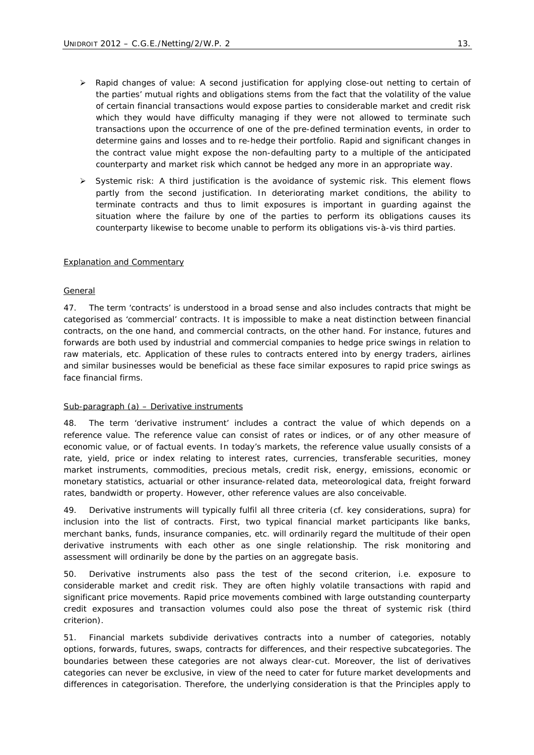- ¾ *Rapid changes of value*: A second justification for applying close-out netting to certain of the parties' mutual rights and obligations stems from the fact that the volatility of the value of certain financial transactions would expose parties to considerable market and credit risk which they would have difficulty managing if they were not allowed to terminate such transactions upon the occurrence of one of the pre-defined termination events, in order to determine gains and losses and to re-hedge their portfolio. Rapid and significant changes in the contract value might expose the non-defaulting party to a multiple of the anticipated counterparty and market risk which cannot be hedged any more in an appropriate way.
- ¾ *Systemic risk*: A third justification is the avoidance of systemic risk. This element flows partly from the second justification. In deteriorating market conditions, the ability to terminate contracts and thus to limit exposures is important in guarding against the situation where the failure by one of the parties to perform its obligations causes its counterparty likewise to become unable to perform its obligations *vis-à-vis* third parties.

#### Explanation and Commentary

#### *General*

47. The term 'contracts' is understood in a broad sense and also includes contracts that might be categorised as 'commercial' contracts. It is impossible to make a neat distinction between financial contracts, on the one hand, and commercial contracts, on the other hand. For instance, futures and forwards are both used by industrial and commercial companies to hedge price swings in relation to raw materials, *etc*. Application of these rules to contracts entered into by energy traders, airlines and similar businesses would be beneficial as these face similar exposures to rapid price swings as face financial firms.

#### *Sub-paragraph (a) – Derivative instruments*

48. The term 'derivative instrument' includes a contract the value of which depends on a reference value. The reference value can consist of rates or indices, or of any other measure of economic value, or of factual events. In today's markets, the reference value usually consists of a rate, yield, price or index relating to interest rates, currencies, transferable securities, money market instruments, commodities, precious metals, credit risk, energy, emissions, economic or monetary statistics, actuarial or other insurance-related data, meteorological data, freight forward rates, bandwidth or property. However, other reference values are also conceivable.

49. Derivative instruments will typically fulfil all three criteria (*cf.* key considerations, *supra*) for inclusion into the list of contracts. First, two typical financial market participants like banks, merchant banks, funds, insurance companies, *etc.* will ordinarily regard the multitude of their open derivative instruments with each other as one single relationship. The risk monitoring and assessment will ordinarily be done by the parties on an aggregate basis.

50. Derivative instruments also pass the test of the second criterion, *i.e.* exposure to considerable market and credit risk. They are often highly volatile transactions with rapid and significant price movements. Rapid price movements combined with large outstanding counterparty credit exposures and transaction volumes could also pose the threat of systemic risk (third criterion).

51. Financial markets subdivide derivatives contracts into a number of categories, notably options, forwards, futures, swaps, contracts for differences, and their respective subcategories. The boundaries between these categories are not always clear-cut. Moreover, the list of derivatives categories can never be exclusive, in view of the need to cater for future market developments and differences in categorisation. Therefore, the underlying consideration is that the Principles apply to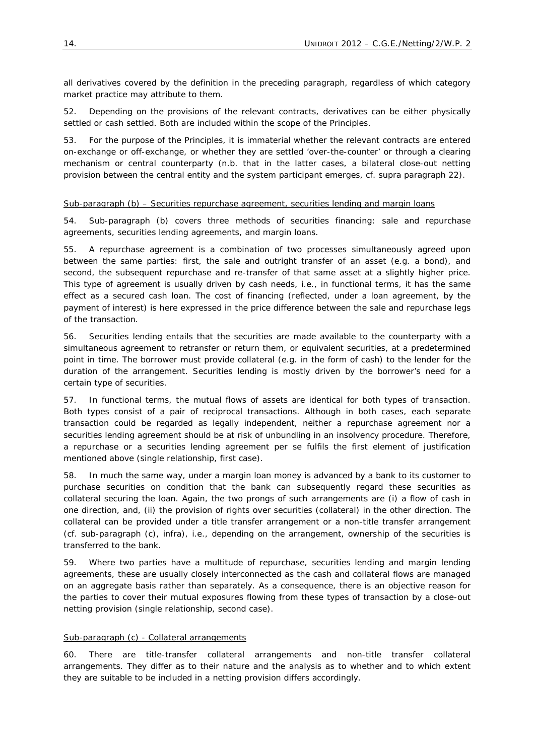all derivatives covered by the definition in the preceding paragraph, regardless of which category market practice may attribute to them.

52. Depending on the provisions of the relevant contracts, derivatives can be either physically settled or cash settled. Both are included within the scope of the Principles.

53. For the purpose of the Principles, it is immaterial whether the relevant contracts are entered on-exchange or off-exchange, or whether they are settled 'over-the-counter' or through a clearing mechanism or central counterparty (*n.b.* that in the latter cases, a bilateral close-out netting provision between the central entity and the system participant emerges, *cf. supra paragraph* 22).

#### *Sub-paragraph (b) – Securities repurchase agreement, securities lending and margin loans*

54. *Sub-paragraph (b)* covers three methods of securities financing: sale and repurchase agreements, securities lending agreements, and margin loans.

55. A repurchase agreement is a combination of two processes simultaneously agreed upon between the same parties: first, the sale and outright transfer of an asset (*e.g.* a bond), and second, the subsequent repurchase and re-transfer of that same asset at a slightly higher price. This type of agreement is usually driven by cash needs, *i.e.*, in functional terms, it has the same effect as a secured cash loan. The cost of financing (reflected, under a loan agreement, by the payment of interest) is here expressed in the price difference between the sale and repurchase legs of the transaction.

56. Securities lending entails that the securities are made available to the counterparty with a simultaneous agreement to retransfer or return them, or equivalent securities, at a predetermined point in time. The borrower must provide collateral (*e.g.* in the form of cash) to the lender for the duration of the arrangement. Securities lending is mostly driven by the borrower's need for a certain type of securities.

57. In functional terms, the mutual flows of assets are identical for both types of transaction. Both types consist of a pair of reciprocal transactions. Although in both cases, each separate transaction could be regarded as legally independent, neither a repurchase agreement nor a securities lending agreement should be at risk of unbundling in an insolvency procedure. Therefore, a repurchase or a securities lending agreement *per se* fulfils the first element of justification mentioned above (single relationship, first case).

58. In much the same way, under a margin loan money is advanced by a bank to its customer to purchase securities on condition that the bank can subsequently regard these securities as collateral securing the loan. Again, the two prongs of such arrangements are (i) a flow of cash in one direction, and, (ii) the provision of rights over securities (collateral) in the other direction. The collateral can be provided under a title transfer arrangement or a non-title transfer arrangement (*cf. sub-paragraph (c), infra*), *i.e.*, depending on the arrangement, ownership of the securities is transferred to the bank.

59. Where two parties have a multitude of repurchase, securities lending and margin lending agreements, these are usually closely interconnected as the cash and collateral flows are managed on an aggregate basis rather than separately. As a consequence, there is an objective reason for the parties to cover their mutual exposures flowing from these types of transaction by a close-out netting provision (single relationship, second case).

#### *Sub-paragraph (c) - Collateral arrangements*

60. There are title-transfer collateral arrangements and non-title transfer collateral arrangements. They differ as to their nature and the analysis as to whether and to which extent they are suitable to be included in a netting provision differs accordingly.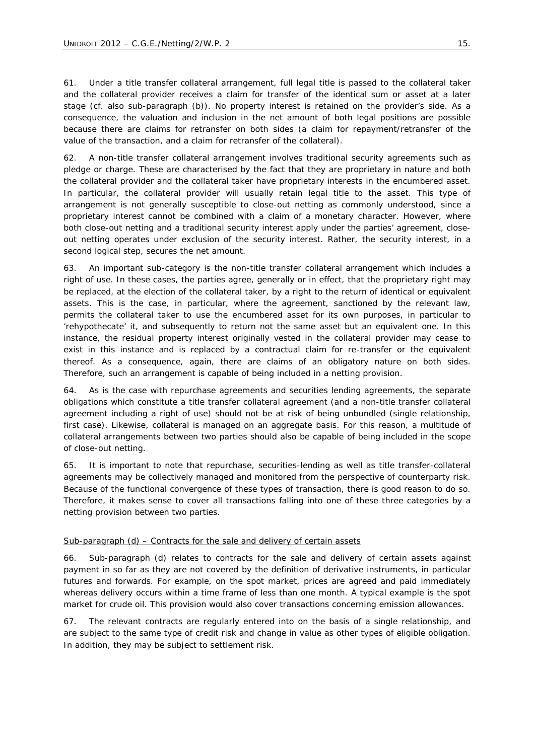61. Under a title transfer collateral arrangement, full legal title is passed to the collateral taker and the collateral provider receives a claim for transfer of the identical sum or asset at a later stage (*cf.* also *sub-paragraph (b)*). No property interest is retained on the provider's side. As a consequence, the valuation and inclusion in the net amount of both legal positions are possible because there are claims for retransfer on both sides (a claim for repayment/retransfer of the value of the transaction, and a claim for retransfer of the collateral).

62. A non-title transfer collateral arrangement involves traditional security agreements such as pledge or charge. These are characterised by the fact that they are proprietary in nature and both the collateral provider and the collateral taker have proprietary interests in the encumbered asset. In particular, the collateral provider will usually retain legal title to the asset. This type of arrangement is not generally susceptible to close-out netting as commonly understood, since a proprietary interest cannot be combined with a claim of a monetary character. However, where both close-out netting and a traditional security interest apply under the parties' agreement, closeout netting operates under exclusion of the security interest. Rather, the security interest, in a second logical step, secures the net amount.

63. An important sub-category is the non-title transfer collateral arrangement which includes a right of use. In these cases, the parties agree, generally or in effect, that the proprietary right may be replaced, at the election of the collateral taker, by a right to the return of identical or equivalent assets. This is the case, in particular, where the agreement, sanctioned by the relevant law, permits the collateral taker to use the encumbered asset for its own purposes, in particular to 'rehypothecate' it, and subsequently to return not the *same* asset but an *equivalent* one. In this instance, the residual property interest originally vested in the collateral provider may cease to exist in this instance and is replaced by a contractual claim for re-transfer or the equivalent thereof. As a consequence, again, there are claims of an obligatory nature on both sides. Therefore, such an arrangement is capable of being included in a netting provision.

64. As is the case with repurchase agreements and securities lending agreements, the separate obligations which constitute a title transfer collateral agreement (and a non-title transfer collateral agreement including a right of use) should not be at risk of being unbundled (single relationship, first case). Likewise, collateral is managed on an aggregate basis. For this reason, a multitude of collateral arrangements between two parties should also be capable of being included in the scope of close-out netting.

65. It is important to note that repurchase, securities-lending as well as title transfer-collateral agreements may be collectively managed and monitored from the perspective of counterparty risk. Because of the functional convergence of these types of transaction, there is good reason to do so. Therefore, it makes sense to cover all transactions falling into one of these three categories by a netting provision between two parties.

#### *Sub-paragraph (d) – Contracts for the sale and delivery of certain assets*

66. *Sub-paragraph (d)* relates to contracts for the sale and delivery of certain assets against payment in so far as they are not covered by the definition of derivative instruments, in particular futures and forwards. For example, on the spot market, prices are agreed and paid immediately whereas delivery occurs within a time frame of less than one month. A typical example is the spot market for crude oil. This provision would also cover transactions concerning emission allowances.

67. The relevant contracts are regularly entered into on the basis of a single relationship, and are subject to the same type of credit risk and change in value as other types of eligible obligation. In addition, they may be subject to settlement risk.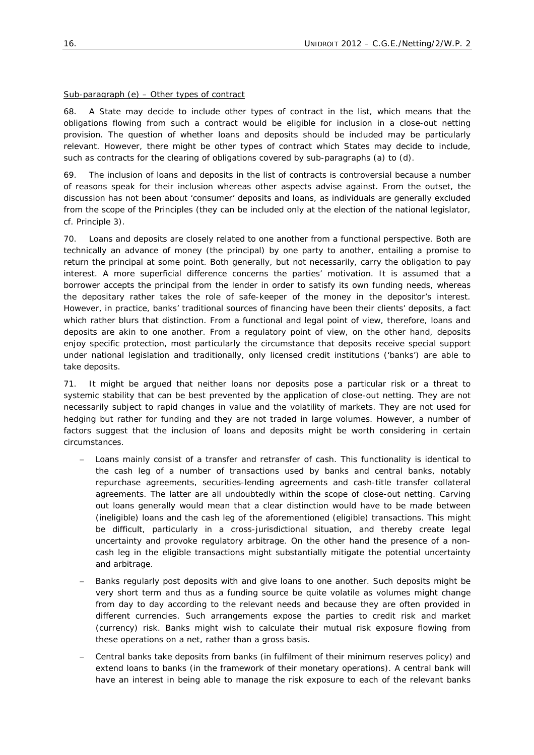## *Sub-paragraph (e) – Other types of contract*

68. A State may decide to include other types of contract in the list, which means that the obligations flowing from such a contract would be eligible for inclusion in a close-out netting provision. The question of whether loans and deposits should be included may be particularly relevant. However, there might be other types of contract which States may decide to include, such as contracts for the clearing of obligations covered by *sub-paragraphs* (a) to (d).

69. The inclusion of loans and deposits in the list of contracts is controversial because a number of reasons speak for their inclusion whereas other aspects advise against. From the outset, the discussion has not been about 'consumer' deposits and loans, as individuals are generally excluded from the scope of the Principles (they can be included only at the election of the national legislator, *cf*. *Principle 3*).

70. Loans and deposits are closely related to one another from a functional perspective. Both are technically an advance of money (the principal) by one party to another, entailing a promise to return the principal at some point. Both generally, but not necessarily, carry the obligation to pay interest. A more superficial difference concerns the parties' motivation. It is assumed that a borrower accepts the principal from the lender in order to satisfy its own funding needs, whereas the depositary rather takes the role of safe-keeper of the money in the depositor's interest. However, in practice, banks' traditional sources of financing have been their clients' deposits, a fact which rather blurs that distinction. From a functional and legal point of view, therefore, loans and deposits are akin to one another. From a regulatory point of view, on the other hand, deposits enjoy specific protection, most particularly the circumstance that deposits receive special support under national legislation and traditionally, only licensed credit institutions ('banks') are able to take deposits.

71. It might be argued that neither loans nor deposits pose a particular risk or a threat to systemic stability that can be best prevented by the application of close-out netting. They are not necessarily subject to rapid changes in value and the volatility of markets. They are not used for hedging but rather for funding and they are not traded in large volumes. However, a number of factors suggest that the inclusion of loans and deposits might be worth considering in certain circumstances.

- Loans mainly consist of a transfer and retransfer of cash. This functionality is identical to the cash leg of a number of transactions used by banks and central banks, notably repurchase agreements, securities-lending agreements and cash-title transfer collateral agreements. The latter are all undoubtedly within the scope of close-out netting. Carving out loans generally would mean that a clear distinction would have to be made between (ineligible) loans and the cash leg of the aforementioned (eligible) transactions. This might be difficult, particularly in a cross-jurisdictional situation, and thereby create legal uncertainty and provoke regulatory arbitrage. On the other hand the presence of a noncash leg in the eligible transactions might substantially mitigate the potential uncertainty and arbitrage.
- Banks regularly post deposits with and give loans to one another. Such deposits might be very short term and thus as a funding source be quite volatile as volumes might change from day to day according to the relevant needs and because they are often provided in different currencies. Such arrangements expose the parties to credit risk and market (currency) risk. Banks might wish to calculate their mutual risk exposure flowing from these operations on a net, rather than a gross basis.
- − Central banks take deposits from banks (in fulfilment of their minimum reserves policy) and extend loans to banks (in the framework of their monetary operations). A central bank will have an interest in being able to manage the risk exposure to each of the relevant banks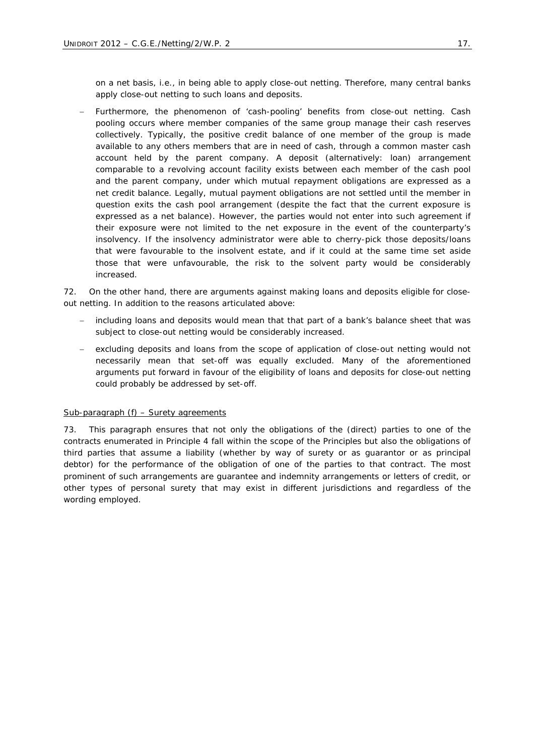on a net basis, *i.e.*, in being able to apply close-out netting. Therefore, many central banks apply close-out netting to such loans and deposits.

Furthermore, the phenomenon of 'cash-pooling' benefits from close-out netting. Cash pooling occurs where member companies of the same group manage their cash reserves collectively. Typically, the positive credit balance of one member of the group is made available to any others members that are in need of cash, through a common master cash account held by the parent company. A deposit (alternatively: loan) arrangement comparable to a revolving account facility exists between each member of the cash pool and the parent company, under which mutual repayment obligations are expressed as a net credit balance. Legally, mutual payment obligations are not settled until the member in question exits the cash pool arrangement (despite the fact that the current exposure is expressed as a net balance). However, the parties would not enter into such agreement if their exposure were not limited to the net exposure in the event of the counterparty's insolvency. If the insolvency administrator were able to cherry-pick those deposits/loans that were favourable to the insolvent estate, and if it could at the same time set aside those that were unfavourable, the risk to the solvent party would be considerably increased.

72. On the other hand, there are arguments against making loans and deposits eligible for closeout netting. In addition to the reasons articulated above:

- including loans and deposits would mean that that part of a bank's balance sheet that was subject to close-out netting would be considerably increased.
- excluding deposits and loans from the scope of application of close-out netting would not necessarily mean that set-off was equally excluded. Many of the aforementioned arguments put forward in favour of the eligibility of loans and deposits for close-out netting could probably be addressed by set-off.

#### *Sub-paragraph (f) – Surety agreements*

73. This paragraph ensures that not only the obligations of the (direct) parties to one of the contracts enumerated in *Principle 4* fall within the scope of the Principles but also the obligations of third parties that assume a liability (whether by way of surety or as guarantor or as principal debtor) for the performance of the obligation of one of the parties to that contract. The most prominent of such arrangements are guarantee and indemnity arrangements or letters of credit, or other types of personal surety that may exist in different jurisdictions and regardless of the wording employed.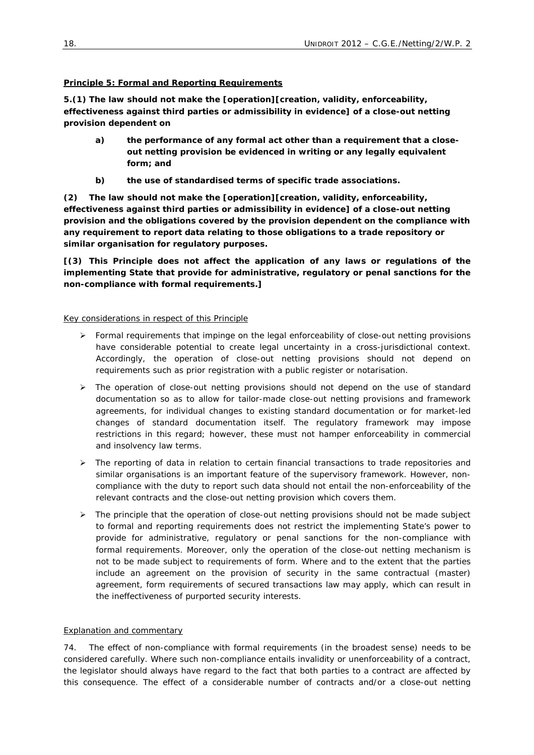# **Principle 5: Formal and Reporting Requirements**

*5.(1) The law should not make the [operation][creation, validity, enforceability, effectiveness against third parties or admissibility in evidence] of a close-out netting provision dependent on* 

- *a) the performance of any formal act other than a requirement that a closeout netting provision be evidenced in writing or any legally equivalent form; and*
- *b) the use of standardised terms of specific trade associations.*

*(2) The law should not make the [operation][creation, validity, enforceability, effectiveness against third parties or admissibility in evidence] of a close-out netting provision and the obligations covered by the provision dependent on the compliance with any requirement to report data relating to those obligations to a trade repository or similar organisation for regulatory purposes.* 

*[(3) This Principle does not affect the application of any laws or regulations of the implementing State that provide for administrative, regulatory or penal sanctions for the non-compliance with formal requirements.]* 

## Key considerations in respect of this Principle

- $\triangleright$  Formal requirements that impinge on the legal enforceability of close-out netting provisions have considerable potential to create legal uncertainty in a cross-jurisdictional context. Accordingly, the operation of close-out netting provisions should not depend on requirements such as prior registration with a public register or notarisation.
- ¾ The operation of close-out netting provisions should not depend on the use of standard documentation so as to allow for tailor-made close-out netting provisions and framework agreements, for individual changes to existing standard documentation or for market-led changes of standard documentation itself. The regulatory framework may impose restrictions in this regard; however, these must not hamper enforceability in commercial and insolvency law terms.
- ¾ The reporting of data in relation to certain financial transactions to trade repositories and similar organisations is an important feature of the supervisory framework. However, noncompliance with the duty to report such data should not entail the non-enforceability of the relevant contracts and the close-out netting provision which covers them.
- $\triangleright$  The principle that the operation of close-out netting provisions should not be made subject to formal and reporting requirements does not restrict the implementing State's power to provide for administrative, regulatory or penal sanctions for the non-compliance with formal requirements. Moreover, only the operation of the close-out netting mechanism is not to be made subject to requirements of form. Where and to the extent that the parties include an agreement on the provision of security in the same contractual (master) agreement, form requirements of secured transactions law may apply, which can result in the ineffectiveness of purported security interests.

## Explanation and commentary

74. The effect of non-compliance with formal requirements (in the broadest sense) needs to be considered carefully. Where such non-compliance entails invalidity or unenforceability of a contract, the legislator should always have regard to the fact that *both* parties to a contract are affected by this consequence. The effect of a considerable number of contracts and/or a close-out netting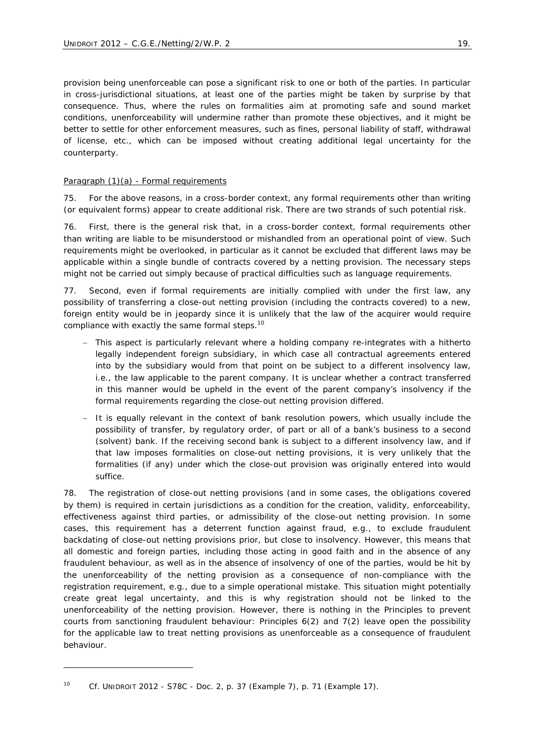provision being unenforceable can pose a significant risk to one or both of the parties. In particular in cross-jurisdictional situations, at least one of the parties might be taken by surprise by that consequence. Thus, where the rules on formalities aim at promoting safe and sound market conditions, unenforceability will undermine rather than promote these objectives, and it might be better to settle for other enforcement measures, such as fines, personal liability of staff, withdrawal of license, *etc.*, which can be imposed without creating additional legal uncertainty for the counterparty.

## *Paragraph (1)(a) - Formal requirements*

75. For the above reasons, in a cross-border context, any formal requirements other than writing (or equivalent forms) appear to create additional risk. There are two strands of such potential risk.

76. First, there is the general risk that, in a cross-border context, formal requirements other than writing are liable to be misunderstood or mishandled from an operational point of view. Such requirements might be overlooked, in particular as it cannot be excluded that different laws may be applicable within a single bundle of contracts covered by a netting provision. The necessary steps might not be carried out simply because of practical difficulties such as language requirements.

77. Second, even if formal requirements are initially complied with under the first law, any possibility of transferring a close-out netting provision (including the contracts covered) to a new, foreign entity would be in jeopardy since it is unlikely that the law of the acquirer would require compliance with exactly the same formal steps.<sup>10</sup>

- − This aspect is particularly relevant where a holding company re-integrates with a hitherto legally independent foreign subsidiary, in which case all contractual agreements entered into by the subsidiary would from that point on be subject to a different insolvency law, *i.e.*, the law applicable to the parent company. It is unclear whether a contract transferred in this manner would be upheld in the event of the parent company's insolvency if the formal requirements regarding the close-out netting provision differed.
- − It is equally relevant in the context of bank resolution powers, which usually include the possibility of transfer, by regulatory order, of part or all of a bank's business to a second (solvent) bank. If the receiving second bank is subject to a different insolvency law, and if that law imposes formalities on close-out netting provisions, it is very unlikely that the formalities (if any) under which the close-out provision was originally entered into would suffice.

78. The registration of close-out netting provisions (and in some cases, the obligations covered by them) is required in certain jurisdictions as a condition for the creation, validity, enforceability, effectiveness against third parties, or admissibility of the close-out netting provision. In some cases, this requirement has a deterrent function against fraud, *e.g.*, to exclude fraudulent backdating of close-out netting provisions prior, but close to insolvency. However, this means that all domestic and foreign parties, including those acting in good faith and in the absence of any fraudulent behaviour, as well as in the absence of insolvency of one of the parties, would be hit by the unenforceability of the netting provision as a consequence of non-compliance with the registration requirement, *e.g.*, due to a simple operational mistake. This situation might potentially create great legal uncertainty, and this is why registration should not be linked to the unenforceability of the netting provision. However, there is nothing in the Principles to prevent courts from sanctioning fraudulent behaviour: *Principles 6(2) and 7(2)* leave open the possibility for the applicable law to treat netting provisions as unenforceable as a consequence of fraudulent behaviour.

1

<sup>10</sup> *Cf.* UNIDROIT 2012 - S78C - Doc. 2, p. 37 (Example 7), p. 71 (Example 17)*.*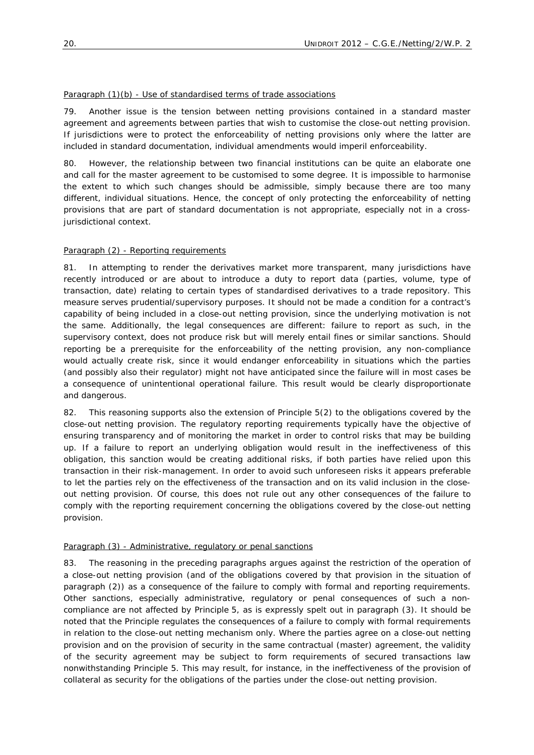#### *Paragraph (1)(b) - Use of standardised terms of trade associations*

79. Another issue is the tension between netting provisions contained in a standard master agreement and agreements between parties that wish to customise the close-out netting provision. If jurisdictions were to protect the enforceability of netting provisions only where the latter are included in standard documentation, individual amendments would imperil enforceability.

80. However, the relationship between two financial institutions can be quite an elaborate one and call for the master agreement to be customised to some degree. It is impossible to harmonise the extent to which such changes should be admissible, simply because there are too many different, individual situations. Hence, the concept of only protecting the enforceability of netting provisions that are part of standard documentation is not appropriate, especially not in a crossjurisdictional context.

## *Paragraph (2) - Reporting requirements*

81. In attempting to render the derivatives market more transparent, many jurisdictions have recently introduced or are about to introduce a duty to report data (parties, volume, type of transaction, date) relating to certain types of standardised derivatives to a trade repository. This measure serves prudential/supervisory purposes. It should not be made a condition for a contract's capability of being included in a close-out netting provision, since the underlying motivation is not the same. Additionally, the legal consequences are different: failure to report as such, in the supervisory context, does not produce risk but will merely entail fines or similar sanctions. Should reporting be a prerequisite for the enforceability of the netting provision, any non-compliance would actually *create* risk, since it would endanger enforceability in situations which the parties (and possibly also their regulator) might not have anticipated since the failure will in most cases be a consequence of unintentional operational failure. This result would be clearly disproportionate and dangerous.

82. This reasoning supports also the extension of *Principle 5(2)* to the obligations covered by the close-out netting provision. The regulatory reporting requirements typically have the objective of ensuring transparency and of monitoring the market in order to control risks that may be building up. If a failure to report an underlying obligation would result in the ineffectiveness of this obligation, this sanction would be creating additional risks, if both parties have relied upon this transaction in their risk-management. In order to avoid such unforeseen risks it appears preferable to let the parties rely on the effectiveness of the transaction and on its valid inclusion in the closeout netting provision. Of course, this does not rule out any other consequences of the failure to comply with the reporting requirement concerning the obligations covered by the close-out netting provision.

#### *Paragraph (3) - Administrative, regulatory or penal sanctions*

83. The reasoning in the preceding paragraphs argues against the restriction of the operation of a close-out netting provision (and of the obligations covered by that provision in the situation of *paragraph (2)*) as a consequence of the failure to comply with formal and reporting requirements. Other sanctions, especially administrative, regulatory or penal consequences of such a noncompliance are not affected by *Principle 5*, as is expressly spelt out in *paragraph (3)*. It should be noted that the Principle regulates the consequences of a failure to comply with formal requirements in relation to the close-out netting mechanism only. Where the parties agree on a close-out netting provision and on the provision of security in the same contractual (master) agreement, the validity of the security agreement may be subject to form requirements of secured transactions law nonwithstanding *Principle 5*. This may result, for instance, in the ineffectiveness of the provision of collateral as security for the obligations of the parties under the close-out netting provision.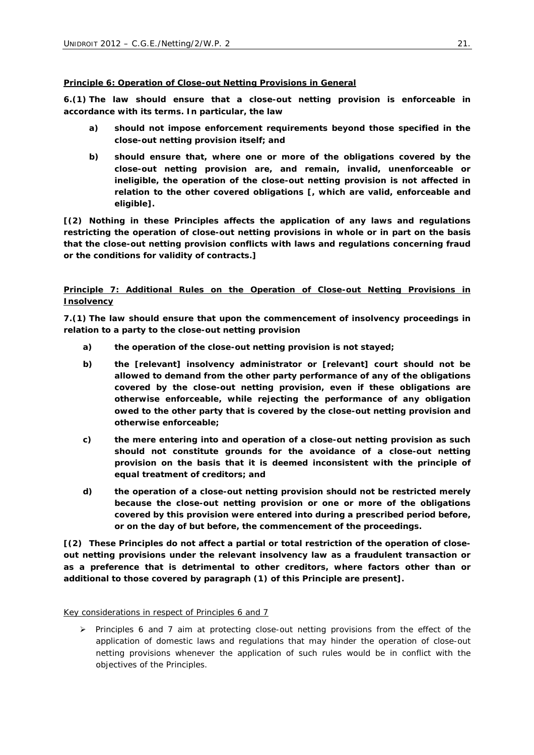## **Principle 6: Operation of Close-out Netting Provisions in General**

*6.(1) The law should ensure that a close-out netting provision is enforceable in accordance with its terms. In particular, the law* 

- *a) should not impose enforcement requirements beyond those specified in the close-out netting provision itself; and*
- *b) should ensure that, where one or more of the obligations covered by the close-out netting provision are, and remain, invalid, unenforceable or ineligible, the operation of the close-out netting provision is not affected in relation to the other covered obligations [, which are valid, enforceable and eligible].*

*[(2) Nothing in these Principles affects the application of any laws and regulations restricting the operation of close-out netting provisions in whole or in part on the basis that the close-out netting provision conflicts with laws and regulations concerning fraud or the conditions for validity of contracts.]* 

## **Principle 7: Additional Rules on the Operation of Close-out Netting Provisions in Insolvency**

*7.(1) The law should ensure that upon the commencement of insolvency proceedings in relation to a party to the close-out netting provision* 

- *a) the operation of the close-out netting provision is not stayed;*
- *b) the [relevant] insolvency administrator or [relevant] court should not be allowed to demand from the other party performance of any of the obligations covered by the close-out netting provision, even if these obligations are otherwise enforceable, while rejecting the performance of any obligation owed to the other party that is covered by the close-out netting provision and otherwise enforceable;*
- *c) the mere entering into and operation of a close-out netting provision as such should not constitute grounds for the avoidance of a close-out netting provision on the basis that it is deemed inconsistent with the principle of equal treatment of creditors; and*
- *d) the operation of a close-out netting provision should not be restricted merely because the close-out netting provision or one or more of the obligations covered by this provision were entered into during a prescribed period before, or on the day of but before, the commencement of the proceedings.*

*[(2) These Principles do not affect a partial or total restriction of the operation of closeout netting provisions under the relevant insolvency law as a fraudulent transaction or as a preference that is detrimental to other creditors, where factors other than or additional to those covered by paragraph (1) of this Principle are present].* 

#### Key considerations in respect of Principles 6 and 7

¾ *Principles 6 and 7* aim at protecting close-out netting provisions from the effect of the application of domestic laws and regulations that may hinder the operation of close-out netting provisions whenever the application of such rules would be in conflict with the objectives of the Principles.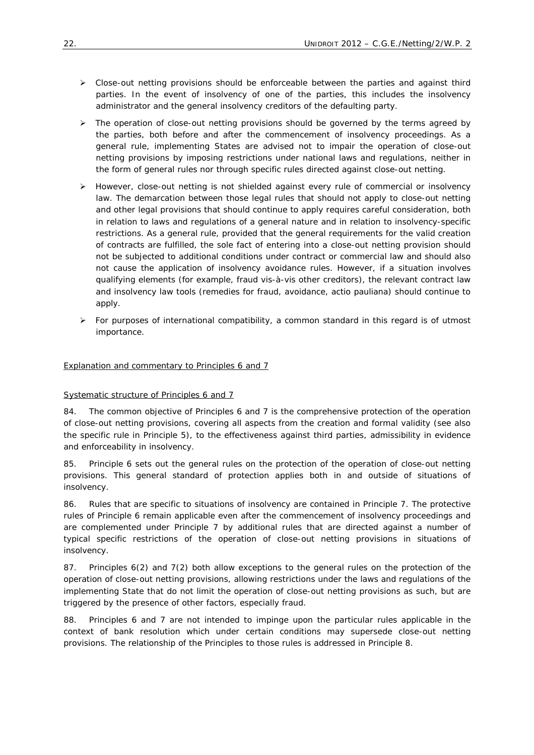- $\triangleright$  Close-out netting provisions should be enforceable between the parties and against third parties. In the event of insolvency of one of the parties, this includes the insolvency administrator and the general insolvency creditors of the defaulting party.
- $\triangleright$  The operation of close-out netting provisions should be governed by the terms agreed by the parties, both before and after the commencement of insolvency proceedings. As a general rule, implementing States are advised not to impair the operation of close-out netting provisions by imposing restrictions under national laws and regulations, neither in the form of general rules nor through specific rules directed against close-out netting.
- ¾ However, close-out netting is not shielded against *every* rule of commercial or insolvency law. The demarcation between those legal rules that should not apply to close-out netting and other legal provisions that should continue to apply requires careful consideration, both in relation to laws and regulations of a general nature and in relation to insolvency-specific restrictions. As a general rule, provided that the general requirements for the valid creation of contracts are fulfilled, the sole fact of entering into a close-out netting provision should not be subjected to additional conditions under contract or commercial law and should also not cause the application of insolvency avoidance rules. However, if a situation involves qualifying elements (for example, fraud *vis-à-vis* other creditors), the relevant contract law and insolvency law tools (remedies for fraud, avoidance, *actio pauliana*) should continue to apply.
- $\triangleright$  For purposes of international compatibility, a common standard in this regard is of utmost importance.

#### Explanation and commentary to Principles 6 and 7

#### *Systematic structure of Principles 6 and 7*

84. The common objective of *Principles 6 and 7* is the comprehensive protection of the operation of close-out netting provisions, covering all aspects from the creation and formal validity (see also the specific rule in *Principle 5*), to the effectiveness against third parties, admissibility in evidence and enforceability in insolvency.

85. *Principle 6* sets out the general rules on the protection of the operation of close-out netting provisions. This general standard of protection applies both in and outside of situations of insolvency.

86. Rules that are specific to situations of insolvency are contained in *Principle 7*. The protective rules of *Principle 6* remain applicable even after the commencement of insolvency proceedings and are complemented under *Principle 7* by additional rules that are directed against a number of typical specific restrictions of the operation of close-out netting provisions in situations of insolvency.

87. *Principles 6(2) and 7(2)* both allow exceptions to the general rules on the protection of the operation of close-out netting provisions, allowing restrictions under the laws and regulations of the implementing State that do not limit the operation of close-out netting provisions as such, but are triggered by the presence of other factors, especially fraud.

88. *Principles 6 and 7* are not intended to impinge upon the particular rules applicable in the context of bank resolution which under certain conditions may supersede close-out netting provisions. The relationship of the Principles to those rules is addressed in *Principle 8*.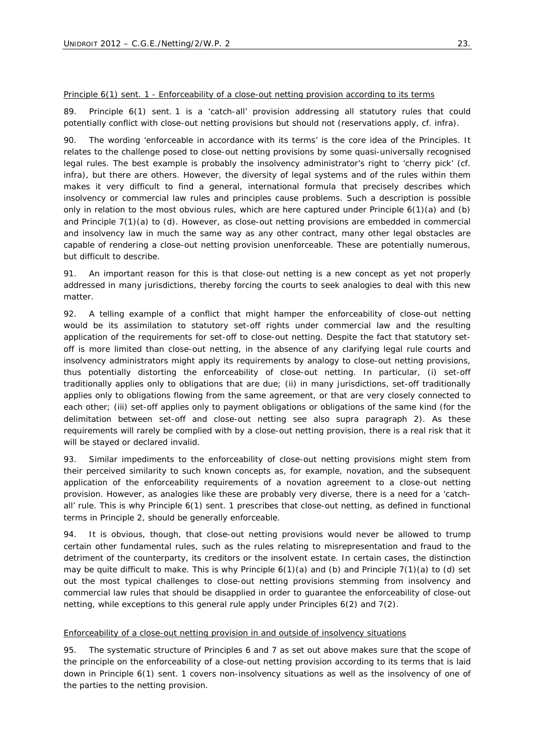#### *Principle 6(1) sent. 1 - Enforceability of a close-out netting provision according to its terms*

89. *Principle 6(1) sent. 1* is a 'catch-all' provision addressing all statutory rules that could potentially conflict with close-out netting provisions but should not (reservations apply, *cf. infra*).

90. The wording 'enforceable in accordance with its terms' is the core idea of the Principles. It relates to the challenge posed to close-out netting provisions by some quasi-universally recognised legal rules. The best example is probably the insolvency administrator's right to 'cherry pick' (*cf. infra*), but there are others. However, the diversity of legal systems and of the rules within them makes it very difficult to find a general, international formula that precisely describes which insolvency or commercial law rules and principles cause problems. Such a description is possible only in relation to the most obvious rules, which are here captured under *Principle 6(1)(a) and (b)*  and *Principle 7(1)(a) to (d)*. However, as close-out netting provisions are embedded in commercial and insolvency law in much the same way as any other contract, many other legal obstacles are capable of rendering a close-out netting provision unenforceable. These are potentially numerous, but difficult to describe.

91. An important reason for this is that close-out netting is a new concept as yet not properly addressed in many jurisdictions, thereby forcing the courts to seek analogies to deal with this new matter.

92. A telling example of a conflict that might hamper the enforceability of close-out netting would be its assimilation to statutory set-off rights under commercial law and the resulting application of the requirements for set-off to close-out netting. Despite the fact that statutory setoff is more limited than close-out netting, in the absence of any clarifying legal rule courts and insolvency administrators might apply its requirements by analogy to close-out netting provisions, thus potentially distorting the enforceability of close-out netting. In particular, (i) set-off traditionally applies only to obligations that are due; (ii) in many jurisdictions, set-off traditionally applies only to obligations flowing from the same agreement, or that are very closely connected to each other; (iii) set-off applies only to payment obligations or obligations of the same kind (for the delimitation between set-off and close-out netting see also *supra paragraph* 2). As these requirements will rarely be complied with by a close-out netting provision, there is a real risk that it will be stayed or declared invalid.

93. Similar impediments to the enforceability of close-out netting provisions might stem from their perceived similarity to such known concepts as, for example, novation, and the subsequent application of the enforceability requirements of a novation agreement to a close-out netting provision. However, as analogies like these are probably very diverse, there is a need for a 'catchall' rule. This is why *Principle 6(1) sent. 1* prescribes that close-out netting, as defined in functional terms in *Principle 2*, should be generally enforceable.

94. It is obvious, though, that close-out netting provisions would never be allowed to trump certain other fundamental rules, such as the rules relating to misrepresentation and fraud to the detriment of the counterparty, its creditors or the insolvent estate. In certain cases, the distinction may be quite difficult to make. This is why *Principle 6(1)(a) and (b)* and *Principle 7(1)(a) to (d)* set out the most typical challenges to close-out netting provisions stemming from insolvency and commercial law rules that should be disapplied in order to guarantee the enforceability of close-out netting, while exceptions to this general rule apply under *Principles 6(2) and 7(2)*.

#### *Enforceability of a close-out netting provision in and outside of insolvency situations*

95. The systematic structure of *Principles 6 and 7* as set out above makes sure that the scope of the principle on the enforceability of a close-out netting provision according to its terms that is laid down in *Principle 6(1) sent. 1* covers non-insolvency situations as well as the insolvency of one of the parties to the netting provision.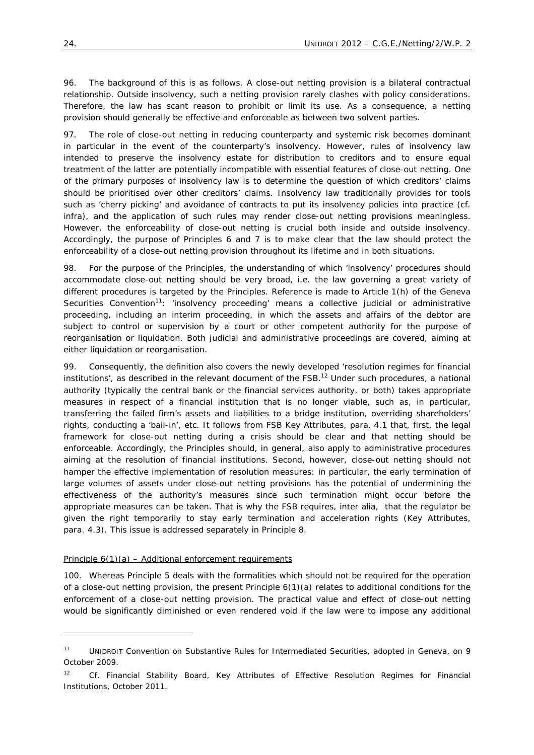96. The background of this is as follows. A close-out netting provision is a bilateral contractual relationship. Outside insolvency, such a netting provision rarely clashes with policy considerations. Therefore, the law has scant reason to prohibit or limit its use. As a consequence, a netting provision should generally be effective and enforceable as between two solvent parties.

97. The role of close-out netting in reducing counterparty and systemic risk becomes dominant in particular in the event of the counterparty's insolvency. However, rules of insolvency law intended to preserve the insolvency estate for distribution to creditors and to ensure equal treatment of the latter are potentially incompatible with essential features of close-out netting. One of the primary purposes of insolvency law is to determine the question of which creditors' claims should be prioritised over other creditors' claims. Insolvency law traditionally provides for tools such as 'cherry picking' and avoidance of contracts to put its insolvency policies into practice (*cf. infra*), and the application of such rules may render close-out netting provisions meaningless. However, the enforceability of close-out netting is crucial both inside *and* outside insolvency. Accordingly, the purpose of *Principles 6 and 7* is to make clear that the law should protect the enforceability of a close-out netting provision throughout its lifetime and in both situations.

98. For the purpose of the Principles, the understanding of which 'insolvency' procedures should accommodate close-out netting should be very broad, *i.e.* the law governing a great variety of different procedures is targeted by the Principles. Reference is made to Article 1(h) of the Geneva Securities Convention<sup>11</sup>: *'insolvency proceeding' means a collective judicial or administrative proceeding, including an interim proceeding, in which the assets and affairs of the debtor are subject to control or supervision by a court or other competent authority for the purpose of reorganisation or liquidation.* Both judicial and administrative proceedings are covered, aiming at either liquidation or reorganisation.

99. Consequently, the definition also covers the newly developed 'resolution regimes for financial institutions', as described in the relevant document of the FSB.<sup>12</sup> Under such procedures, a national authority (typically the central bank or the financial services authority, or both) takes appropriate measures in respect of a financial institution that is no longer viable, such as, in particular, transferring the failed firm's assets and liabilities to a bridge institution, overriding shareholders' rights, conducting a 'bail-in', *etc*. It follows from FSB Key Attributes, para. 4.1 that, first, the legal framework for close-out netting during a crisis should be clear and that netting should be enforceable. Accordingly, the Principles should, in general, also apply to administrative procedures aiming at the resolution of financial institutions. Second, however, close-out netting should not hamper the effective implementation of resolution measures: in particular, the early termination of large volumes of assets under close-out netting provisions has the potential of undermining the effectiveness of the authority's measures since such termination might occur before the appropriate measures can be taken. That is why the FSB requires, *inter alia*, that the regulator be given the right temporarily to stay early termination and acceleration rights (Key Attributes, para. 4.3). This issue is addressed separately in *Principle 8*.

#### *Principle 6(1)(a) – Additional enforcement requirements*

100. Whereas *Principle 5* deals with the formalities which should not be required for the operation of a close-out netting provision, the present *Principle 6(1)(a)* relates to additional conditions for the enforcement of a close-out netting provision. The practical value and effect of close-out netting would be significantly diminished or even rendered void if the law were to impose any additional

1

<sup>&</sup>lt;sup>11</sup> UNIDROIT Convention on Substantive Rules for Intermediated Securities, adopted in Geneva, on 9 October 2009.

<sup>12</sup> *Cf.* Financial Stability Board, Key Attributes of Effective Resolution Regimes for Financial Institutions, October 2011.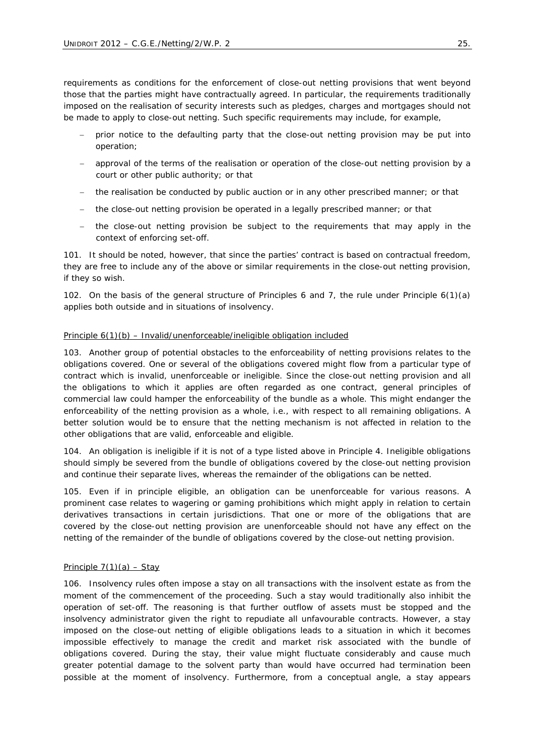requirements as conditions for the enforcement of close-out netting provisions that went beyond those that the parties might have contractually agreed. In particular, the requirements traditionally imposed on the realisation of security interests such as pledges, charges and mortgages should not be made to apply to close-out netting. Such specific requirements may include, for example,

- prior notice to the defaulting party that the close-out netting provision may be put into operation;
- − approval of the terms of the realisation or operation of the close-out netting provision by a court or other public authority; or that
- − the realisation be conducted by public auction or in any other prescribed manner; or that
- the close-out netting provision be operated in a legally prescribed manner; or that
- − the close-out netting provision be subject to the requirements that may apply in the context of enforcing set-off.

101. It should be noted, however, that since the parties' contract is based on contractual freedom, they are free to include any of the above or similar requirements in the close-out netting provision, if they so wish.

102. On the basis of the general structure of *Principles 6 and 7*, the rule under *Principle 6(1)(a)* applies both outside and in situations of insolvency.

#### *Principle 6(1)(b) – Invalid/unenforceable/ineligible obligation included*

103. Another group of potential obstacles to the enforceability of netting provisions relates to the obligations covered. One or several of the obligations covered might flow from a particular type of contract which is invalid, unenforceable or ineligible. Since the close-out netting provision and all the obligations to which it applies are often regarded as *one* contract, general principles of commercial law could hamper the enforceability of the bundle as a whole. This might endanger the enforceability of the netting provision as a whole, *i.e.*, with respect to all remaining obligations. A better solution would be to ensure that the netting mechanism is not affected in relation to the other obligations that are valid, enforceable and eligible.

104. An obligation is ineligible if it is not of a type listed above in *Principle 4*. Ineligible obligations should simply be severed from the bundle of obligations covered by the close-out netting provision and continue their separate lives, whereas the remainder of the obligations can be netted.

105. Even if in principle eligible, an obligation can be unenforceable for various reasons. A prominent case relates to wagering or gaming prohibitions which might apply in relation to certain derivatives transactions in certain jurisdictions. That one or more of the obligations that are covered by the close-out netting provision are unenforceable should not have any effect on the netting of the remainder of the bundle of obligations covered by the close-out netting provision.

#### *Principle 7(1)(a) – Stay*

106. Insolvency rules often impose a stay on all transactions with the insolvent estate as from the moment of the commencement of the proceeding. Such a stay would traditionally also inhibit the operation of set-off. The reasoning is that further outflow of assets must be stopped and the insolvency administrator given the right to repudiate all unfavourable contracts. However, a stay imposed on the close-out netting of eligible obligations leads to a situation in which it becomes impossible effectively to manage the credit *and* market risk associated with the bundle of obligations covered. During the stay, their value might fluctuate considerably and cause much greater potential damage to the solvent party than would have occurred had termination been possible at the moment of insolvency. Furthermore, from a conceptual angle, a stay appears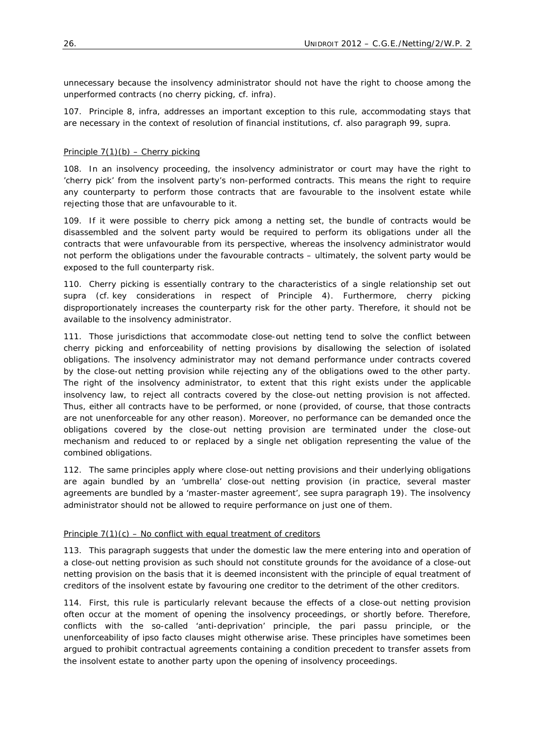unnecessary because the insolvency administrator should not have the right to choose among the unperformed contracts (no cherry picking, *cf. infra*).

107. Principle 8, *infra*, addresses an important exception to this rule, accommodating stays that are necessary in the context of resolution of financial institutions, *cf.* also *paragraph 99*, *supra*.

#### *Principle 7(1)(b) – Cherry picking*

108. In an insolvency proceeding, the insolvency administrator or court may have the right to 'cherry pick' from the insolvent party's non-performed contracts. This means the right to require any counterparty to perform those contracts that are favourable to the insolvent estate while rejecting those that are unfavourable to it.

109. If it were possible to cherry pick among a netting set, the bundle of contracts would be disassembled and the solvent party would be required to perform its obligations under all the contracts that were unfavourable from its perspective, whereas the insolvency administrator would not perform the obligations under the favourable contracts – ultimately, the solvent party would be exposed to the full counterparty risk.

110. Cherry picking is essentially contrary to the characteristics of a single relationship set out *supra* (*cf*. key considerations in respect of *Principle 4*). Furthermore, cherry picking disproportionately increases the counterparty risk for the other party. Therefore, it should not be available to the insolvency administrator.

111. Those jurisdictions that accommodate close-out netting tend to solve the conflict between cherry picking and enforceability of netting provisions by disallowing the selection of isolated obligations. The insolvency administrator may not demand performance under contracts covered by the close-out netting provision while rejecting any of the obligations owed to the other party. The right of the insolvency administrator, to extent that this right exists under the applicable insolvency law, to reject *all* contracts covered by the close-out netting provision is not affected. Thus, either *all* contracts have to be performed, or *none* (provided, of course, that those contracts are not unenforceable for any other reason). Moreover, no performance can be demanded once the obligations covered by the close-out netting provision are terminated under the close-out mechanism and reduced to or replaced by a single net obligation representing the value of the combined obligations.

112. The same principles apply where close-out netting provisions and their underlying obligations are again bundled by an 'umbrella' close-out netting provision (in practice, several master agreements are bundled by a 'master-master agreement', see *supra paragraph* 19). The insolvency administrator should not be allowed to require performance on just one of them.

#### *Principle 7(1)(c) – No conflict with equal treatment of creditors*

113. This paragraph suggests that under the domestic law the mere entering into and operation of a close-out netting provision as such should not constitute grounds for the avoidance of a close-out netting provision on the basis that it is deemed inconsistent with the principle of equal treatment of creditors of the insolvent estate by favouring one creditor to the detriment of the other creditors.

114. First, this rule is particularly relevant because the effects of a close-out netting provision often occur at the moment of opening the insolvency proceedings, or shortly before. Therefore, conflicts with the so-called 'anti-deprivation' principle, the *pari passu* principle, or the unenforceability of *ipso facto* clauses might otherwise arise. These principles have sometimes been argued to prohibit contractual agreements containing a condition precedent to transfer assets from the insolvent estate to another party upon the opening of insolvency proceedings.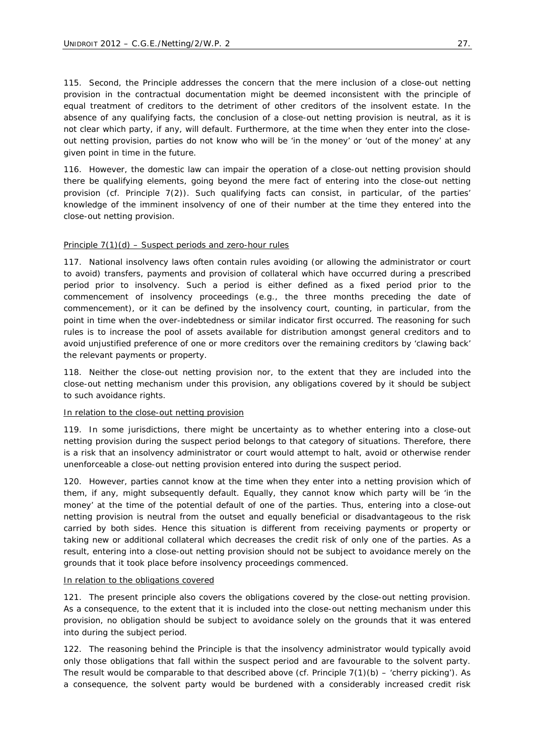115. Second, the Principle addresses the concern that the mere inclusion of a close-out netting provision in the contractual documentation might be deemed inconsistent with the principle of equal treatment of creditors to the detriment of other creditors of the insolvent estate. In the absence of any qualifying facts, the conclusion of a close-out netting provision is neutral, as it is not clear which party, if any, will default. Furthermore, at the time when they enter into the closeout netting provision, parties do not know who will be 'in the money' or 'out of the money' at any given point in time in the future.

116. However, the domestic law can impair the operation of a close-out netting provision should there be qualifying elements, going beyond the *mere* fact of entering into the close-out netting provision (*cf. Principle 7(2))*. Such qualifying facts can consist, in particular, of the parties' knowledge of the imminent insolvency of one of their number at the time they entered into the close-out netting provision.

## *Principle 7(1)(d) – Suspect periods and zero-hour rules*

117. National insolvency laws often contain rules avoiding (or allowing the administrator or court to avoid) transfers, payments and provision of collateral which have occurred during a prescribed period prior to insolvency. Such a period is either defined as a fixed period prior to the commencement of insolvency proceedings (*e.g.*, the three months preceding the date of commencement), or it can be defined by the insolvency court, counting, in particular, from the point in time when the over-indebtedness or similar indicator first occurred. The reasoning for such rules is to increase the pool of assets available for distribution amongst general creditors and to avoid unjustified preference of one or more creditors over the remaining creditors by 'clawing back' the relevant payments or property.

118. Neither the close-out netting provision nor, to the extent that they are included into the close-out netting mechanism under this provision, any obligations covered by it should be subject to such avoidance rights.

#### *In relation to the close-out netting provision*

119. In some jurisdictions, there might be uncertainty as to whether entering into a close-out netting provision during the suspect period belongs to that category of situations. Therefore, there is a risk that an insolvency administrator or court would attempt to halt, avoid or otherwise render unenforceable a close-out netting provision entered into during the suspect period.

120. However, parties cannot know at the time when they enter into a netting provision which of them, if any, might subsequently default. Equally, they cannot know which party will be 'in the money' at the time of the potential default of one of the parties. Thus, entering into a close-out netting provision is neutral from the outset and equally beneficial or disadvantageous to the risk carried by both sides. Hence this situation is different from receiving payments or property or taking new or additional collateral which decreases the credit risk of only one of the parties. As a result, entering into a close-out netting provision should not be subject to avoidance merely on the grounds that it took place before insolvency proceedings commenced.

#### *In relation to the obligations covered*

121. The present principle also covers the obligations covered by the close-out netting provision. As a consequence, to the extent that it is included into the close-out netting mechanism under this provision, no obligation should be subject to avoidance solely on the grounds that it was entered into during the subject period.

122. The reasoning behind the Principle is that the insolvency administrator would typically avoid only those obligations that fall within the suspect period and are favourable to the solvent party. The result would be comparable to that described above (*cf*. *Principle 7(1)(b)* – 'cherry picking'). As a consequence, the solvent party would be burdened with a considerably increased credit risk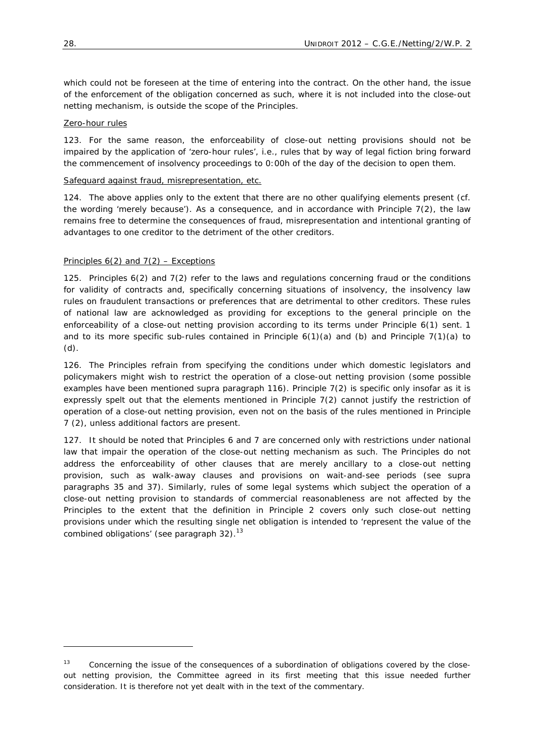which could not be foreseen at the time of entering into the contract. On the other hand, the issue of the enforcement of the obligation concerned as such, where it is not included into the close-out netting mechanism, is outside the scope of the Principles.

#### *Zero-hour rules*

123. For the same reason, the enforceability of close-out netting provisions should not be impaired by the application of 'zero-hour rules', *i.e.*, rules that by way of legal fiction bring forward the commencement of insolvency proceedings to 0:00h of the day of the decision to open them.

#### *Safeguard against fraud, misrepresentation, etc.*

124. The above applies only to the extent that there are no other qualifying elements present (*cf*. the wording 'merely because'). As a consequence, and in accordance with *Principle 7(2)*, the law remains free to determine the consequences of fraud, misrepresentation and intentional granting of advantages to one creditor to the detriment of the other creditors.

## *Principles 6(2) and 7(2) – Exceptions*

125. *Principles 6(2) and 7(2)* refer to the laws and regulations concerning fraud or the conditions for validity of contracts and, specifically concerning situations of insolvency, the insolvency law rules on fraudulent transactions or preferences that are detrimental to other creditors. These rules of national law are acknowledged as providing for exceptions to the general principle on the enforceability of a close-out netting provision according to its terms under *Principle 6(1) sent. 1* and to its more specific sub-rules contained in *Principle 6(1)(a) and (b)* and *Principle 7(1)(a) to (d).*

126. The Principles refrain from specifying the conditions under which domestic legislators and policymakers might wish to restrict the operation of a close-out netting provision (some possible examples have been mentioned *supra paragraph* 116). *Principle 7(2)* is specific only insofar as it is expressly spelt out that the elements mentioned in *Principle 7(2)* cannot justify the restriction of operation of a close-out netting provision, even not on the basis of the rules mentioned in *Principle 7 (2)*, unless additional factors are present.

127. It should be noted that *Principles 6 and 7* are concerned only with restrictions under national law that impair the operation of the close-out netting mechanism as such. The Principles do not address the enforceability of other clauses that are merely ancillary to a close-out netting provision, such as walk-away clauses and provisions on wait-and-see periods (see *supra paragraphs* 35 and 37). Similarly, rules of some legal systems which subject the operation of a close-out netting provision to standards of commercial reasonableness are not affected by the Principles to the extent that the definition in *Principle 2* covers only such close-out netting provisions under which the resulting single net obligation is intended to 'represent the value of the combined obligations' (see *paragraph* 32).<sup>13</sup>

1

<sup>13</sup> *Concerning the issue of the consequences of a subordination of obligations covered by the close*out netting provision, the Committee agreed in its first meeting that this issue needed further *consideration. It is therefore not yet dealt with in the text of the commentary*.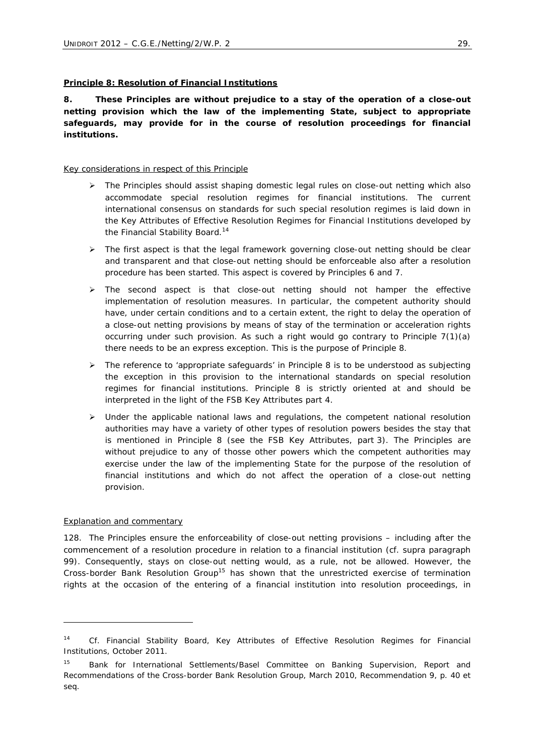## **Principle 8: Resolution of Financial Institutions**

*8. These Principles are without prejudice to a stay of the operation of a close-out netting provision which the law of the implementing State, subject to appropriate safeguards, may provide for in the course of resolution proceedings for financial institutions.* 

#### Key considerations in respect of this Principle

- $\triangleright$  The Principles should assist shaping domestic legal rules on close-out netting which also accommodate special resolution regimes for financial institutions. The current international consensus on standards for such special resolution regimes is laid down in the Key Attributes of Effective Resolution Regimes for Financial Institutions developed by the *Financial Stability Board*. 14
- $\triangleright$  The first aspect is that the legal framework governing close-out netting should be clear and transparent and that close-out netting should be enforceable also after a resolution procedure has been started. This aspect is covered by *Principles 6 and 7*.
- $\triangleright$  The second aspect is that close-out netting should not hamper the effective implementation of resolution measures. In particular, the competent authority should have, under certain conditions and to a certain extent, the right to delay the operation of a close-out netting provisions by means of stay of the termination or acceleration rights occurring under such provision. As such a right would go contrary to *Principle 7(1)(a)* there needs to be an express exception. This is the purpose of *Principle 8*.
- ¾ The reference to 'appropriate safeguards' in *Principle 8* is to be understood as subjecting the exception in this provision to the international standards on special resolution regimes for financial institutions. *Principle 8* is strictly oriented at and should be interpreted in the light of the FSB Key Attributes part 4.
- $\triangleright$  Under the applicable national laws and regulations, the competent national resolution authorities may have a variety of other types of resolution powers besides the stay that is mentioned in *Principle 8* (see the FSB Key Attributes, part 3). The Principles are without prejudice to any of thosse other powers which the competent authorities may exercise under the law of the implementing State for the purpose of the resolution of financial institutions and which do not affect the operation of a close-out netting provision.

#### Explanation and commentary

1

128. The Principles ensure the enforceability of close-out netting provisions – including after the commencement of a resolution procedure in relation to a financial institution (*cf*. *supra paragraph* 99). Consequently, stays on close-out netting would, as a rule, not be allowed. However, the *Cross-border Bank Resolution Group*15 has shown that the unrestricted exercise of termination rights at the occasion of the entering of a financial institution into resolution proceedings, in

<sup>14</sup> *Cf.* Financial Stability Board, Key Attributes of Effective Resolution Regimes for Financial Institutions, October 2011.

<sup>&</sup>lt;sup>15</sup> Bank for International Settlements/Basel Committee on Banking Supervision, Report and Recommendations of the Cross-border Bank Resolution Group, March 2010, Recommendation 9, p. 40 *et seq.*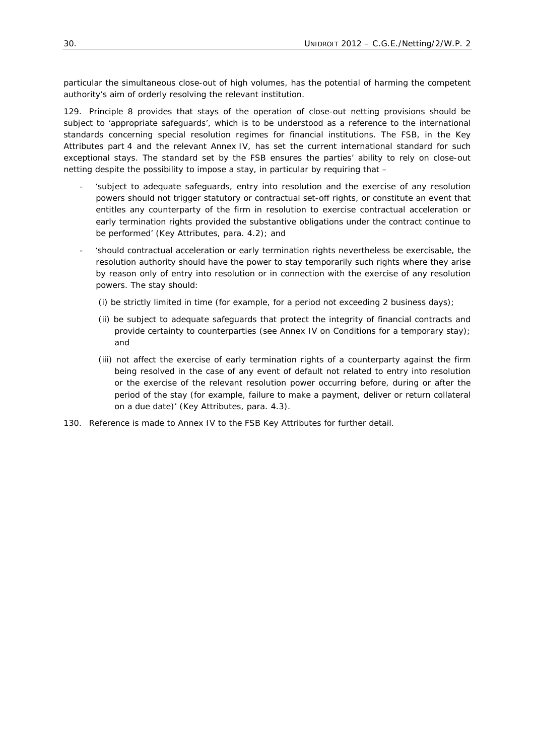particular the simultaneous close-out of high volumes, has the potential of harming the competent authority's aim of orderly resolving the relevant institution.

129. *Principle 8* provides that stays of the operation of close-out netting provisions should be subject to 'appropriate safeguards', which is to be understood as a reference to the international standards concerning special resolution regimes for financial institutions. The FSB, in the Key Attributes part 4 and the relevant Annex IV, has set the current international standard for such exceptional stays. The standard set by the FSB ensures the parties' ability to rely on close-out netting despite the possibility to impose a stay, in particular by requiring that –

- 'subject to adequate safeguards, entry into resolution and the exercise of any resolution powers should not trigger statutory or contractual set-off rights, or constitute an event that entitles any counterparty of the firm in resolution to exercise contractual acceleration or early termination rights provided the substantive obligations under the contract continue to be performed' (Key Attributes, para. 4.2); and
- 'should contractual acceleration or early termination rights nevertheless be exercisable, the resolution authority should have the power to stay temporarily such rights where they arise by reason only of entry into resolution or in connection with the exercise of any resolution powers. The stay should:
	- (i) be strictly limited in time (for example, for a period not exceeding 2 business days);
	- (ii) be subject to adequate safeguards that protect the integrity of financial contracts and provide certainty to counterparties (see Annex IV on Conditions for a temporary stay); and
	- (iii) not affect the exercise of early termination rights of a counterparty against the firm being resolved in the case of any event of default not related to entry into resolution or the exercise of the relevant resolution power occurring before, during or after the period of the stay (for example, failure to make a payment, deliver or return collateral on a due date)' (Key Attributes, para. 4.3).
- 130. Reference is made to Annex IV to the FSB Key Attributes for further detail.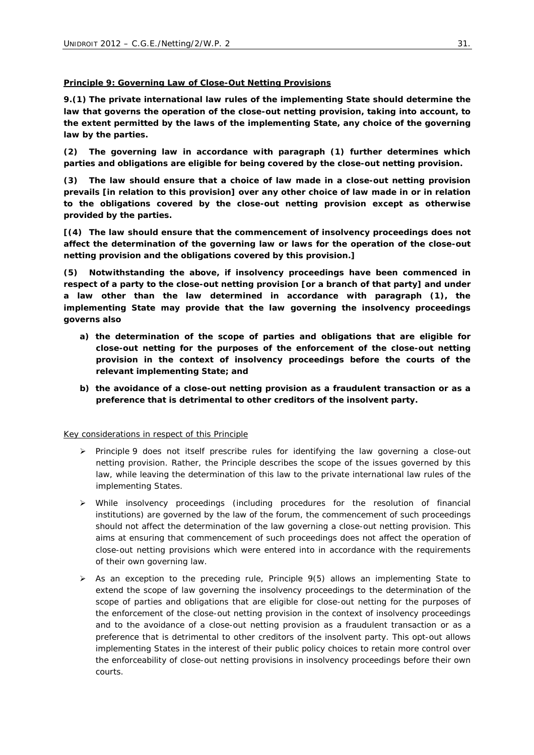## **Principle 9: Governing Law of Close-Out Netting Provisions**

*9.(1) The private international law rules of the implementing State should determine the law that governs the operation of the close-out netting provision, taking into account, to the extent permitted by the laws of the implementing State, any choice of the governing law by the parties.* 

*(2) The governing law in accordance with paragraph (1) further determines which parties and obligations are eligible for being covered by the close-out netting provision.* 

*(3) The law should ensure that a choice of law made in a close-out netting provision prevails [in relation to this provision] over any other choice of law made in or in relation to the obligations covered by the close-out netting provision except as otherwise provided by the parties.* 

*[(4) The law should ensure that the commencement of insolvency proceedings does not affect the determination of the governing law or laws for the operation of the close-out netting provision and the obligations covered by this provision.]* 

*(5) Notwithstanding the above, if insolvency proceedings have been commenced in respect of a party to the close-out netting provision [or a branch of that party] and under a law other than the law determined in accordance with paragraph (1), the implementing State may provide that the law governing the insolvency proceedings governs also* 

- *a) the determination of the scope of parties and obligations that are eligible for close-out netting for the purposes of the enforcement of the close-out netting provision in the context of insolvency proceedings before the courts of the relevant implementing State; and*
- *b) the avoidance of a close-out netting provision as a fraudulent transaction or as a preference that is detrimental to other creditors of the insolvent party.*

Key considerations in respect of this Principle

- ¾ *Principle 9* does not itself prescribe rules for identifying the law governing a close-out netting provision. Rather, the Principle describes the scope of the issues governed by this law, while leaving the determination of this law to the private international law rules of the implementing States.
- ¾ While insolvency proceedings (including procedures for the resolution of financial institutions) are governed by the law of the forum, the commencement of such proceedings should not affect the determination of the law governing a close-out netting provision. This aims at ensuring that commencement of such proceedings does not affect the operation of close-out netting provisions which were entered into in accordance with the requirements of their own governing law.
- ¾ As an exception to the preceding rule, *Principle 9(5)* allows an implementing State to extend the scope of law governing the insolvency proceedings to the determination of the scope of parties and obligations that are eligible for close-out netting for the purposes of the enforcement of the close-out netting provision in the context of insolvency proceedings and to the avoidance of a close-out netting provision as a fraudulent transaction or as a preference that is detrimental to other creditors of the insolvent party. This opt-out allows implementing States in the interest of their public policy choices to retain more control over the enforceability of close-out netting provisions in insolvency proceedings before their own courts.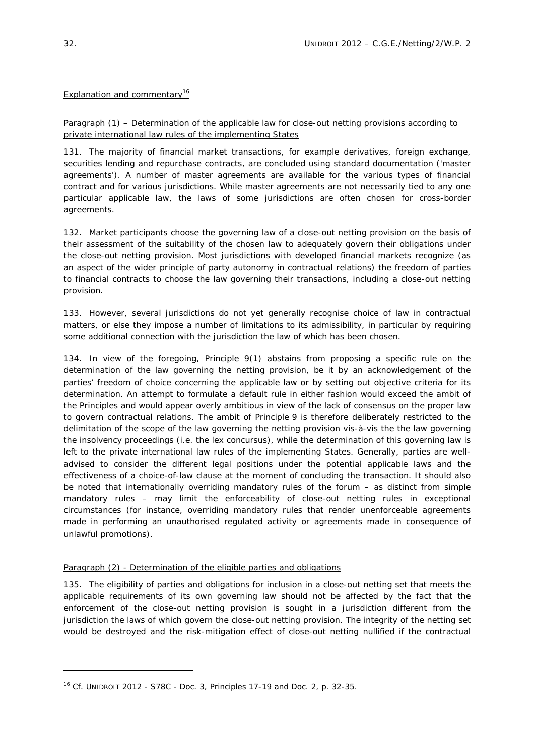Explanation and commentary<sup>16</sup>

# *Paragraph (1) – Determination of the applicable law for close-out netting provisions according to private international law rules of the implementing States*

131. The majority of financial market transactions, for example derivatives, foreign exchange, securities lending and repurchase contracts, are concluded using standard documentation ('master agreements'). A number of master agreements are available for the various types of financial contract and for various jurisdictions. While master agreements are not necessarily tied to any one particular applicable law, the laws of some jurisdictions are often chosen for cross-border agreements.

132. Market participants choose the governing law of a close-out netting provision on the basis of their assessment of the suitability of the chosen law to adequately govern their obligations under the close-out netting provision. Most jurisdictions with developed financial markets recognize (as an aspect of the wider principle of party autonomy in contractual relations) the freedom of parties to financial contracts to choose the law governing their transactions, including a close-out netting provision.

133. However, several jurisdictions do not yet generally recognise choice of law in contractual matters, or else they impose a number of limitations to its admissibility, in particular by requiring some additional connection with the jurisdiction the law of which has been chosen.

134. In view of the foregoing, *Principle 9(1)* abstains from proposing a specific rule on the determination of the law governing the netting provision, be it by an acknowledgement of the parties' freedom of choice concerning the applicable law or by setting out objective criteria for its determination. An attempt to formulate a default rule in either fashion would exceed the ambit of the Principles and would appear overly ambitious in view of the lack of consensus on the proper law to govern contractual relations. The ambit of *Principle 9* is therefore deliberately restricted to the delimitation of the scope of the law governing the netting provision vis-à-vis the the law governing the insolvency proceedings (*i.e.* the *lex concursus)*, while the determination of this governing law is left to the private international law rules of the implementing States. Generally, parties are welladvised to consider the different legal positions under the potential applicable laws and the effectiveness of a choice-of-law clause at the moment of concluding the transaction. It should also be noted that internationally overriding mandatory rules of the forum – as distinct from simple mandatory rules – may limit the enforceability of close-out netting rules in exceptional circumstances (for instance, overriding mandatory rules that render unenforceable agreements made in performing an unauthorised regulated activity or agreements made in consequence of unlawful promotions).

## *Paragraph (2) - Determination of the eligible parties and obligations*

135. The eligibility of parties and obligations for inclusion in a close-out netting set that meets the applicable requirements of its own governing law should not be affected by the fact that the enforcement of the close-out netting provision is sought in a jurisdiction different from the jurisdiction the laws of which govern the close-out netting provision. The integrity of the netting set would be destroyed and the risk-mitigation effect of close-out netting nullified if the contractual

 $\overline{a}$ 

<sup>16</sup> *Cf.* UNIDROIT 2012 - S78C - Doc. 3, Principles 17-19 and Doc. 2, p. 32-35.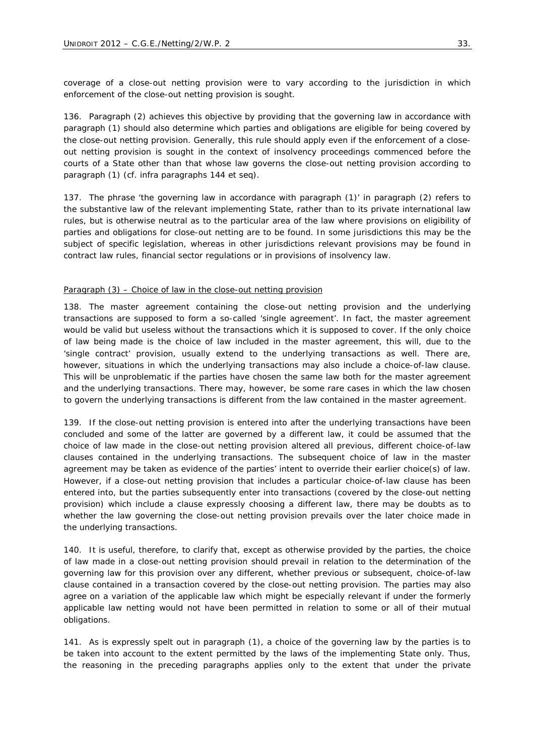coverage of a close-out netting provision were to vary according to the jurisdiction in which enforcement of the close-out netting provision is sought.

136. *Paragraph (2)* achieves this objective by providing that the governing law in accordance with *paragraph (1)* should also determine which parties and obligations are eligible for being covered by the close-out netting provision. Generally, this rule should apply even if the enforcement of a closeout netting provision is sought in the context of insolvency proceedings commenced before the courts of a State other than that whose law governs the close-out netting provision according to *paragraph (1)* (*cf. infra paragraphs 144 et seq*).

137. The phrase 'the governing law in accordance with paragraph (1)' in *paragraph (2)* refers to the substantive law of the relevant implementing State, rather than to its private international law rules, but is otherwise neutral as to the particular area of the law where provisions on eligibility of parties and obligations for close-out netting are to be found. In some jurisdictions this may be the subject of specific legislation, whereas in other jurisdictions relevant provisions may be found in contract law rules, financial sector regulations or in provisions of insolvency law.

#### *Paragraph (3) – Choice of law in the close-out netting provision*

138. The master agreement containing the close-out netting provision and the underlying transactions are supposed to form a so-called 'single agreement'. In fact, the master agreement would be valid but useless without the transactions which it is supposed to cover. If the only choice of law being made is the choice of law included in the master agreement, this will, due to the 'single contract' provision, usually extend to the underlying transactions as well. There are, however, situations in which the underlying transactions may also include a choice-of-law clause. This will be unproblematic if the parties have chosen the same law both for the master agreement and the underlying transactions. There may, however, be some rare cases in which the law chosen to govern the underlying transactions is different from the law contained in the master agreement.

139. If the close-out netting provision is entered into after the underlying transactions have been concluded and some of the latter are governed by a different law, it could be assumed that the choice of law made in the close-out netting provision altered all previous, different choice-of-law clauses contained in the underlying transactions. The subsequent choice of law in the master agreement may be taken as evidence of the parties' intent to override their earlier choice(s) of law. However, if a close-out netting provision that includes a particular choice-of-law clause has been entered into, but the parties subsequently enter into transactions (covered by the close-out netting provision) which include a clause expressly choosing a different law, there may be doubts as to whether the law governing the close-out netting provision prevails over the later choice made in the underlying transactions.

140. It is useful, therefore, to clarify that, except as otherwise provided by the parties, the choice of law made in a close-out netting provision should prevail in relation to the determination of the governing law for this provision over any different, whether previous or subsequent, choice-of-law clause contained in a transaction covered by the close-out netting provision. The parties may also agree on a variation of the applicable law which might be especially relevant if under the formerly applicable law netting would not have been permitted in relation to some or all of their mutual obligations.

141. As is expressly spelt out in *paragraph (1)*, a choice of the governing law by the parties is to be taken into account to the extent permitted by the laws of the implementing State only. Thus, the reasoning in the preceding *paragraphs* applies only to the extent that under the private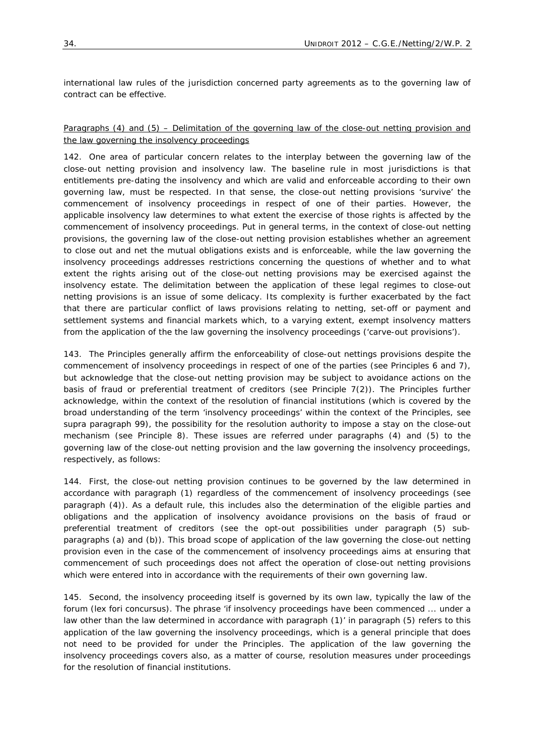international law rules of the jurisdiction concerned party agreements as to the governing law of contract can be effective.

## *Paragraphs (4) and (5) – Delimitation of the governing law of the close-out netting provision and the law governing the insolvency proceedings*

142. One area of particular concern relates to the interplay between the governing law of the close-out netting provision and insolvency law. The baseline rule in most jurisdictions is that entitlements pre-dating the insolvency and which are valid and enforceable according to their own governing law, must be respected. In that sense, the close-out netting provisions 'survive' the commencement of insolvency proceedings in respect of one of their parties. However, the applicable insolvency law determines to what extent the exercise of those rights is affected by the commencement of insolvency proceedings. Put in general terms, in the context of close-out netting provisions, the governing law of the close-out netting provision establishes whether an agreement to close out and net the mutual obligations exists and is enforceable, while the law governing the insolvency proceedings addresses restrictions concerning the questions of whether and to what extent the rights arising out of the close-out netting provisions may be exercised against the insolvency estate. The delimitation between the application of these legal regimes to close-out netting provisions is an issue of some delicacy. Its complexity is further exacerbated by the fact that there are particular conflict of laws provisions relating to netting, set-off or payment and settlement systems and financial markets which, to a varying extent, exempt insolvency matters from the application of the the law governing the insolvency proceedings ('carve-out provisions')*.* 

143. The Principles generally affirm the enforceability of close-out nettings provisions despite the commencement of insolvency proceedings in respect of one of the parties (see *Principles 6 and 7*), but acknowledge that the close-out netting provision may be subject to avoidance actions on the basis of fraud or preferential treatment of creditors (see *Principle 7(2)*). The Principles further acknowledge, within the context of the resolution of financial institutions (which is covered by the broad understanding of the term 'insolvency proceedings' within the context of the Principles, see *supra paragraph* 99), the possibility for the resolution authority to impose a stay on the close-out mechanism (see *Principle 8*). These issues are referred under *paragraphs (4) and (5)* to the governing law of the close-out netting provision and the law governing the insolvency proceedings, respectively, as follows:

144. First, the close-out netting provision continues to be governed by the law determined in accordance with *paragraph (1)* regardless of the commencement of insolvency proceedings (see *paragraph (4)*). As a default rule, this includes also the determination of the eligible parties and obligations and the application of insolvency avoidance provisions on the basis of fraud or preferential treatment of creditors (see the opt-out possibilities under *paragraph (5) subparagraphs (a) and (b)*). This broad scope of application of the law governing the close-out netting provision even in the case of the commencement of insolvency proceedings aims at ensuring that commencement of such proceedings does not affect the operation of close-out netting provisions which were entered into in accordance with the requirements of their own governing law.

145. Second, the insolvency proceeding itself is governed by its own law, typically the law of the forum (*lex fori concursus)*. The phrase 'if insolvency proceedings have been commenced ... under a law other than the law determined in accordance with *paragraph (1)*' in *paragraph (5)* refers to this application of the law governing the insolvency proceedings, which is a general principle that does not need to be provided for under the Principles. The application of the law governing the insolvency proceedings covers also, as a matter of course, resolution measures under proceedings for the resolution of financial institutions.